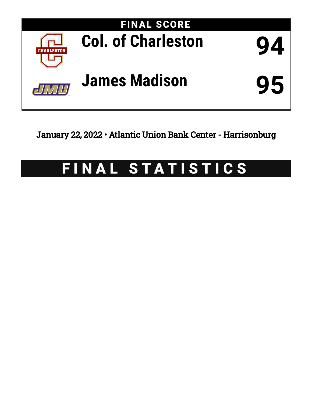

January 22, 2022 • Atlantic Union Bank Center - Harrisonburg

# FINAL STATISTICS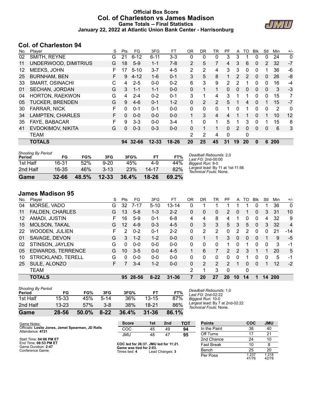### **Official Box Score Col. of Charleston vs James Madison Game Totals -- Final Statistics January 22, 2022 at Atlantic Union Bank Center - Harrisonburg**



## **Col. of Charleston 94**

| No. | Player                 | S | Pts      | FG       | 3FG       | FT        | <b>OR</b>      | DR.      | TR             | PF             | A                     | TO | <b>BIK</b>   | Stl            | Min | $+/-$        |
|-----|------------------------|---|----------|----------|-----------|-----------|----------------|----------|----------------|----------------|-----------------------|----|--------------|----------------|-----|--------------|
| 02  | SMITH, REYNE           | G | 21       | $6 - 12$ | $6 - 11$  | $3 - 3$   | 0              | 0        | 0              | 3              | 3                     |    | 0            | 0              | 24  | $\mathbf{0}$ |
| 11  | UNDERWOOD, DIMITRIUS   | G | 18       | $5-9$    | $1 - 1$   | $7-8$     | $\overline{2}$ | 5        | 7              | 4              | 3                     | 6  | 0            | $\overline{2}$ | 32  | $-7$         |
| 12  | MEEKS, JOHN            |   | 17       | $5 - 10$ | 3-7       | $4 - 5$   | 2              | 2        | 4              | 3              | 3                     | 0  | 0            |                | 36  | -6           |
| 25  | <b>BURNHAM, BEN</b>    |   | 9        | $4 - 12$ | $1 - 6$   | $0 - 1$   | 3              | 5        | 8              |                | $\mathbf{2}^{\prime}$ | 2  | 0            | 0              | 26  | -8           |
| 33  | <b>SMART, OSINACHI</b> | С | 4        | $2 - 5$  | $0 - 0$   | $0 - 2$   | 6              | 3        | 9              | $\overline{2}$ | 2                     |    | 0            | 0              | 16  | -4           |
| 01  | SECHAN, JORDAN         | G | 3        | $1 - 1$  | $1 - 1$   | $0 - 0$   | 0              | 1        | 1              | 0              | 0                     | 0  | $\mathbf{0}$ | 0              | 3   | $-3$         |
| 04  | <b>HORTON, RAEKWON</b> | G | 4        | $2 - 4$  | $0 - 2$   | $0 - 1$   | 3              | 1        | 4              | 3              |                       |    | 0            | $\Omega$       | 15  | 7            |
| 05  | <b>TUCKER, BRENDEN</b> | G | 9        | $4-6$    | $0 - 1$   | $1 - 2$   | 0              | 2        | $\overline{2}$ | 5              |                       | 4  | $\Omega$     |                | 15  | $-7$         |
| 30  | FARRAR, NICK           | F | $\Omega$ | $0 - 1$  | $0 - 1$   | $0 - 0$   | 0              | 0        | 0              | 1              | 0                     |    | 0            | 0              | 2   | $\mathbf{0}$ |
| 34  | LAMPTEN, CHARLES       | F | $\Omega$ | $0 - 0$  | $0 - 0$   | $0 - 0$   |                | 3        | 4              | 4              |                       |    | $\Omega$     |                | 10  | 12           |
| 35  | <b>FAYE, BABACAR</b>   | F | 9        | $3-3$    | $0 - 0$   | $3 - 4$   | 1              | $\Omega$ | $\mathbf 1$    | 5              | 1                     | 3  | $\Omega$     | 1              | 15  | 8            |
| 41  | EVDOKIMOV, NIKITA      | G | $\Omega$ | $0 - 3$  | $0 - 3$   | $0 - 0$   | 0              | 1        | 1              | 0              | $\overline{2}$        | 0  | $\Omega$     | $\mathbf{0}$   | 6   | 3            |
|     | TEAM                   |   |          |          |           |           | 2              | 2        | 4              | $\Omega$       |                       | 0  |              |                |     |              |
|     | <b>TOTALS</b>          |   |          | 94 32-66 | $12 - 33$ | $18 - 26$ | 20             | 25       | 45             | 31             | 19                    | 20 | $\bf{0}$     | 6              | 200 |              |

| <b>Shooting By Period</b><br>Period | FG        | FG%   | 3FG       | 3FG%  | FT        | FT%   | Deadball Rebounds: 2,0<br>Last FG: 2nd-00:00               |
|-------------------------------------|-----------|-------|-----------|-------|-----------|-------|------------------------------------------------------------|
| 1st Half                            | 16-31     | 52%   | $9 - 20$  | 45%   | $4-9$     | 44%   | Biggest Run: 9-0                                           |
| 2nd Half                            | 16-35     | 46%   | $3 - 13$  | 23%   | $14 - 17$ | 82%   | Largest lead: By 11 at 1st-11:56<br>Technical Fouls: None. |
| Game                                | $32 - 66$ | 48.5% | $12 - 33$ | 36.4% | 18-26     | 69.2% |                                                            |

## **James Madison 95**

| No. | Plaver                   | S  | Pts | FG       | 3FG      | FТ        | 0 <sub>R</sub> | DR | TR             | PF            | A        | TO | <b>B</b> lk  | Stl | Min | $+/-$          |
|-----|--------------------------|----|-----|----------|----------|-----------|----------------|----|----------------|---------------|----------|----|--------------|-----|-----|----------------|
| 04  | MORSE, VADO              | G  | 32  | $7 - 17$ | $5 - 10$ | $13 - 14$ | 0              |    |                |               |          |    | 0            |     | 36  | $\mathbf{0}$   |
| 11  | <b>FALDEN, CHARLES</b>   | G  | 13  | $5 - 8$  | $1 - 3$  | $2 - 2$   | 0              | 0  | 0              | 2             | 0        |    | $\Omega$     | 3   | 31  | 10             |
| 12  | AMADI, JUSTIN            | F  | 16  | $5-9$    | $0 - 1$  | $6 - 8$   | 4              | 4  | 8              | 4             | 1        | 0  | 0            | 4   | 32  | 9              |
| 15  | <b>MOLSON, TAKAL</b>     | G  | 12  | $4-9$    | $0 - 3$  | $4 - 5$   | $\Omega$       | 3  | 3              | 5             | 3        | 5  | $\Omega$     | 3   | 32  | $\overline{4}$ |
| 22  | <b>WOODEN, JULIEN</b>    | F. | 2   | $0 - 2$  | $0 - 1$  | $2 - 2$   | 0              | 2  | $\overline{2}$ | 0             | 2        | 2  | 0            | 0   | 21  | $-14$          |
| 01  | SAVAGE, DEVON            | G  | 3   | $1 - 2$  | $1 - 2$  | $0 - 0$   | 0              |    |                | 3             | $\Omega$ | 0  | $\mathbf{0}$ |     | 9   | $-5$           |
| 02  | STINSON, JAYLEN          | G  | 0   | $0 - 0$  | $0 - 0$  | $0 - 0$   | 0              | 0  | 0              |               | 0        |    | 0            | 0   | 3   | $-1$           |
| 05  | <b>EDWARDS, TERRENCE</b> | G  | 10  | $3 - 5$  | $0 - 0$  | $4 - 5$   | 1              | 6  |                | $\mathcal{P}$ | 2        | 3  |              |     | 20  | 5              |
| 10  | STRICKLAND, TERELL       | G  | 0   | $0 - 0$  | $0 - 0$  | $0 - 0$   | 0              | 0  | $\Omega$       | 0             | 0        |    | 0            | 0   | 5   | -1             |
| 25  | SULE, ALONZO             | F  |     | $3 - 4$  | $1 - 2$  | $0 - 0$   | $\Omega$       | 2  | $\mathcal{P}$  | 2             | 1        | 0  | $\Omega$     |     | 12  | $-2$           |
|     | <b>TEAM</b>              |    |     |          |          |           | 2              |    | 3              | $\Omega$      |          | 0  |              |     |     |                |
|     | <b>TOTALS</b>            |    |     | 95 28-56 | $8 - 22$ | $31 - 36$ |                | 20 | 27             | 20            | 10       | 14 |              | 14  | 200 |                |

| <b>Shooting By Period</b><br>Period | FG        | FG%   | 3FG      | 3FG%  | FТ        | FT%   |
|-------------------------------------|-----------|-------|----------|-------|-----------|-------|
| 1st Half                            | 15-33     | 45%   | $5-14$   | 36%   | $13 - 15$ | 87%   |
| 2nd Half                            | $13 - 23$ | 57%   | $3 - 8$  | 38%   | 18-21     | 86%   |
| Game                                | 28-56     | 50.0% | $8 - 22$ | 36.4% | $31 - 36$ | 86.1% |

*Deadball Rebounds:* 1,0 *Last FG:* 2nd-02:22 *Biggest Run:* 10-0 *Largest lead:* By 7 at 2nd-02:22 *Technical Fouls:* None.

| Game Notes:                                                           | <b>Score</b>                             | 1st | 2 <sub>nd</sub> | <b>TOT</b> | <b>Points</b>     | COC            | <b>JMU</b>     |
|-----------------------------------------------------------------------|------------------------------------------|-----|-----------------|------------|-------------------|----------------|----------------|
| Officials: Leslie Jones, Jemel Spearman, JD Ralls<br>Attendance: 4721 | COC                                      | 45  | 49              | 94         | In the Paint      | 38             | 40             |
|                                                                       | <b>JMU</b>                               | 48  | -47             | 95         | Off Turns         |                | 21             |
| Start Time: 04:06 PM ET                                               |                                          |     |                 |            | 2nd Chance        | 24             | 10             |
| End Time: 06:53 PM ET<br>Game Duration: 2:47                          | COC led for 26:37. JMU led for 11:21.    |     |                 |            | <b>Fast Break</b> | 10             |                |
| Conference Game:                                                      | Game was tied for 2:03.<br>Times tied: 4 |     | Lead Changes: 3 |            | Bench             | 25             | 20             |
|                                                                       |                                          |     |                 |            | Per Poss          | 1.237<br>41/76 | 1.218<br>42/78 |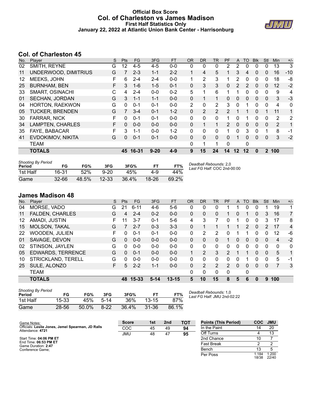#### **Official Box Score Col. of Charleston vs James Madison First Half Statistics Only January 22, 2022 at Atlantic Union Bank Center - Harrisonburg**



## **Col. of Charleston 45**

| No. | Player                 | S | <b>Pts</b> | <b>FG</b> | 3FG      | <b>FT</b> | <b>OR</b> | <b>DR</b>      | TR             | <b>PF</b>     | A  | TO | <b>BIK</b> | <b>Stl</b>   | Min            | $+/-$ |
|-----|------------------------|---|------------|-----------|----------|-----------|-----------|----------------|----------------|---------------|----|----|------------|--------------|----------------|-------|
| 02  | SMITH, REYNE           | G | 12         | $4 - 5$   | 4-5      | $0 - 0$   | 0         | 0              | 0              | 2             | 2  | 0  | 0          | 0            | 13             | 3     |
| 11  | UNDERWOOD, DIMITRIUS   | G |            | $2 - 3$   | $1 - 1$  | $2 - 2$   |           | 4              | 5              |               | 3  | 4  | $\Omega$   | 0            | 16             | $-10$ |
| 12  | MEEKS, JOHN            | F | 6          | 2-4       | 2-4      | $0-0$     | 1         | 2              | 3              |               | 2  | 0  | 0          | 0            | 18             | -8    |
| 25  | <b>BURNHAM, BEN</b>    | F | 3          | $1 - 6$   | $1 - 5$  | $0 - 1$   | 0         | 3              | 3              | 0             | 2  | 2  | 0          | 0            | 12             | $-2$  |
| 33  | <b>SMART, OSINACHI</b> | С | 4          | 2-4       | $0 - 0$  | $0 - 2$   | 5         | 1              | 6              |               |    | 0  | 0          | 0            | 9              | 4     |
| 01  | <b>SECHAN, JORDAN</b>  | G | 3          | $1 - 1$   | $1 - 1$  | $0 - 0$   | 0         | 1              | 1              | $\Omega$      | 0  | 0  | 0          | 0            | 3              | $-3$  |
| 04  | <b>HORTON, RAEKWON</b> | G | $\Omega$   | $0 - 1$   | $0 - 1$  | $0 - 0$   | 2         | 0              | 2              | 3             | 0  |    | 0          | $\Omega$     | 4              | 0     |
| 05  | <b>TUCKER, BRENDEN</b> | G |            | $3 - 4$   | $0 - 1$  | $1 - 2$   | 0         | $\overline{2}$ | $\overline{2}$ | $\mathcal{P}$ |    |    | 0          | 1            | 11             | 1     |
| 30  | <b>FARRAR, NICK</b>    | F | 0          | $0 - 1$   | $0 - 1$  | $0-0$     | 0         | $\Omega$       | $\mathbf{0}$   | 1             | 0  |    | 0          | 0            | $\overline{2}$ | 2     |
| 34  | LAMPTEN, CHARLES       | F | $\Omega$   | $0 - 0$   | $0 - 0$  | $0 - 0$   | 0         | 1              | 1              | 2             | 0  | 0  | $\Omega$   | $\Omega$     | 2              | 1     |
| 35  | <b>FAYE, BABACAR</b>   | F | 3          | 1-1       | $0 - 0$  | $1 - 2$   | 0         | 0              | 0              | 1             | 0  | 3  | $\Omega$   | 1            | 8              | -1    |
| 41  | EVDOKIMOV, NIKITA      | G | 0          | $0 - 1$   | $0 - 1$  | $0 - 0$   | 0         | $\Omega$       | $\mathbf{0}$   | 0             |    | 0  | 0          | 0            | 3              | $-2$  |
|     | <b>TEAM</b>            |   |            |           |          |           | 0         | 1              | 1              | $\Omega$      |    | 0  |            |              |                |       |
|     | <b>TOTALS</b>          |   |            | 45 16-31  | $9 - 20$ | $4 - 9$   | 9         | 15             | 24             | 14            | 12 | 12 | 0          | $\mathbf{2}$ | 100            |       |

| <b>Shooting By Period</b> |           |       |           |       |       |       |
|---------------------------|-----------|-------|-----------|-------|-------|-------|
| Period                    | FG        | FG%   | 3FG       | 3FG%  |       | FT%   |
| 1st Half                  | 16-31     | 52%   | $9 - 20$  | 45%   | 4-9   | 44%   |
| Game                      | $32 - 66$ | 48.5% | $12 - 33$ | 36.4% | 18-26 | 69.2% |

*Deadball Rebounds:* 2,0 *Last FG Half:* COC 2nd-00:00

## **James Madison 48**

| No. | Player                   | S  | Pts | FG.       | 3FG      | <b>FT</b> | <b>OR</b>    | <b>DR</b> | TR            | PF            | A | TO. | <b>Blk</b>   | Stl          | Min | $+/-$       |
|-----|--------------------------|----|-----|-----------|----------|-----------|--------------|-----------|---------------|---------------|---|-----|--------------|--------------|-----|-------------|
| 04  | MORSE, VADO              | G  | 21  | $6 - 11$  | 4-6      | 5-6       | 0            | $\Omega$  | 0             |               |   | 0   | 0            |              | 19  |             |
| 11  | <b>FALDEN, CHARLES</b>   | G  | 4   | $2 - 4$   | $0 - 2$  | $0 - 0$   | $\mathbf{0}$ | 0         | 0             |               | 0 |     | 0            | 3            | 16  | 7           |
| 12  | AMADI, JUSTIN            | F  | 11  | $3 - 7$   | $0 - 1$  | $5-6$     | 4            | 3         | 7             | $\Omega$      |   | 0   | 0            | 3            | 17  | 8           |
| 15  | <b>MOLSON, TAKAL</b>     | G  |     | $2 - 7$   | $0 - 3$  | $3 - 3$   | 0            |           |               |               |   | 2   | $\Omega$     | 2            | 17  | 4           |
| 22  | <b>WOODEN, JULIEN</b>    | F. | 0   | $0 - 1$   | $0 - 1$  | $0 - 0$   | $\Omega$     | 2         | 2             | 0             |   | 1   | $\Omega$     | 0            | 12  | -6          |
| 01  | SAVAGE, DEVON            | G  | 0   | $0 - 0$   | $0 - 0$  | $0 - 0$   | $\Omega$     | $\Omega$  | $\Omega$      |               | 0 | 0   | $\Omega$     | $\Omega$     | 4   | $-2$        |
| 02  | STINSON, JAYLEN          | G  | 0   | $0 - 0$   | $0 - 0$  | $0 - 0$   | 0            | 0         | $\Omega$      | $\Omega$      | 0 | 0   | $\Omega$     | 0            | 0   | $\mathbf 0$ |
| 05  | <b>EDWARDS, TERRENCE</b> | G  | 0   | $0 - 1$   | $0 - 0$  | $0 - 0$   |              | 2         | 3             | 2             |   |     | $\mathbf{0}$ | $\mathbf{0}$ | 5   |             |
| 10  | STRICKLAND, TERELL       | G  | 0   | $0 - 0$   | $0 - 0$  | $0 - 0$   | 0            | 0         | 0             | <sup>0</sup>  | 0 |     | 0            | 0            | 5   | -1          |
| 25  | SULE, ALONZO             | F. | 5.  | $2 - 2$   | $1 - 1$  | $0 - 0$   | 0            | 2         | $\mathcal{P}$ | $\mathcal{P}$ | 0 | 0   | $\Omega$     | 0            | 7   | 3           |
|     | <b>TEAM</b>              |    |     |           |          |           | 0            | 0         | $\mathbf{0}$  | $\Omega$      |   | 0   |              |              |     |             |
|     | <b>TOTALS</b>            |    | 48  | $15 - 33$ | $5 - 14$ | $13 - 15$ | 5            | 10        | 15            | 8             | 5 | 6   | 0            | 9            | 100 |             |

| <b>Shooting By Period</b><br>Period | FG    | FG%   | 3FG      | 3FG%  |           | FT%   |
|-------------------------------------|-------|-------|----------|-------|-----------|-------|
| 1st Half                            | 15-33 | 45%   | $5 - 14$ | 36%   | $13 - 15$ | 87%   |
| Game                                | 28-56 | 50.0% | $8 - 22$ | 36.4% | $31 - 36$ | 86.1% |

*Deadball Rebounds:* 1,0 *Last FG Half:* JMU 2nd-02:22

| Game Notes:                                                           | <b>Score</b> | 1st | 2 <sub>nd</sub> | тот | <b>Points (This Period)</b> | <b>COC</b>     | JMU            |
|-----------------------------------------------------------------------|--------------|-----|-----------------|-----|-----------------------------|----------------|----------------|
| Officials: Leslie Jones, Jemel Spearman, JD Ralls<br>Attendance: 4721 | COC          | 45  | 49              | 94  | In the Paint                |                | 20             |
|                                                                       | JMU          | 48  | 47              | 95  | Off Turns                   |                |                |
| Start Time: 04:06 PM ET                                               |              |     |                 |     | 2nd Chance                  | 10             |                |
| End Time: 06:53 PM ET<br>Game Duration: 2:47                          |              |     |                 |     | <b>Fast Break</b>           |                |                |
| Conference Game:                                                      |              |     |                 |     | Bench                       |                |                |
|                                                                       |              |     |                 |     | Per Poss                    | 1.184<br>18/38 | 1.200<br>22/40 |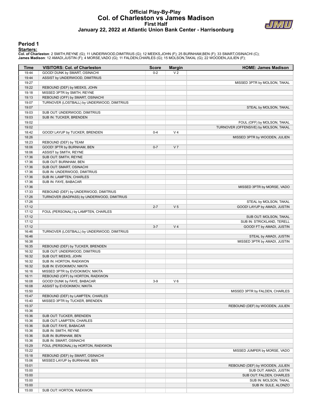### **Official Play-By-Play Col. of Charleston vs James Madison First Half January 22, 2022 at Atlantic Union Bank Center - Harrisonburg**



#### **Period 1**

<mark>Startersː</mark><br>Col. of Charleston: 2 SMITH,REYNE (G); 11 UNDERWOOD,DIMITRIUS (G); 12 MEEKS,JOHN (F); 25 BURNHAM,BEN (F); 33 SMART,OSINACHI (C);<br>James Madison: 12 AMADI,JUSTIN (F); 4 MORSE,VADO (G); 11 FALDEN,CHARLES (G); 15 M

|                |                                                                 |              |                | <b>HOME: James Madison</b>            |
|----------------|-----------------------------------------------------------------|--------------|----------------|---------------------------------------|
| Time           | <b>VISITORS: Col. of Charleston</b>                             | <b>Score</b> | <b>Margin</b>  |                                       |
| 19:44          | GOOD! DUNK by SMART, OSINACHI                                   | $0 - 2$      | V <sub>2</sub> |                                       |
| 19:44          | ASSIST by UNDERWOOD, DIMITRIUS                                  |              |                |                                       |
| 19:27          |                                                                 |              |                | MISSED 3PTR by MOLSON, TAKAL          |
| 19:22          | REBOUND (DEF) by MEEKS, JOHN                                    |              |                |                                       |
| 19:18<br>19:13 | MISSED 3PTR by SMITH, REYNE<br>REBOUND (OFF) by SMART, OSINACHI |              |                |                                       |
| 19:07          | TURNOVER (LOSTBALL) by UNDERWOOD, DIMITRIUS                     |              |                |                                       |
| 19:07          |                                                                 |              |                | STEAL by MOLSON, TAKAL                |
| 19:03          | SUB OUT: UNDERWOOD, DIMITRIUS                                   |              |                |                                       |
| 19:03          | SUB IN: TUCKER, BRENDEN                                         |              |                |                                       |
| 19:02          |                                                                 |              |                | FOUL (OFF) by MOLSON, TAKAL           |
| 19:02          |                                                                 |              |                | TURNOVER (OFFENSIVE) by MOLSON, TAKAL |
| 18:42          | GOOD! LAYUP by TUCKER, BRENDEN                                  | $0 - 4$      | V <sub>4</sub> |                                       |
| 18:26          |                                                                 |              |                | MISSED 3PTR by WOODEN, JULIEN         |
| 18:23          | REBOUND (DEF) by TEAM                                           |              |                |                                       |
| 18:06          | GOOD! 3PTR by BURNHAM, BEN                                      | $0 - 7$      | V <sub>7</sub> |                                       |
| 18:06          | ASSIST by SMITH, REYNE                                          |              |                |                                       |
| 17:36          | SUB OUT: SMITH, REYNE                                           |              |                |                                       |
| 17:36          | SUB OUT: BURNHAM, BEN                                           |              |                |                                       |
| 17:36          | SUB OUT: SMART, OSINACHI                                        |              |                |                                       |
| 17:36          | SUB IN: UNDERWOOD, DIMITRIUS                                    |              |                |                                       |
| 17:36          | SUB IN: LAMPTEN, CHARLES                                        |              |                |                                       |
| 17:36          | SUB IN: FAYE, BABACAR                                           |              |                |                                       |
| 17:36          |                                                                 |              |                | MISSED 3PTR by MORSE, VADO            |
| 17:33          | REBOUND (DEF) by UNDERWOOD, DIMITRIUS                           |              |                |                                       |
| 17:26          | TURNOVER (BADPASS) by UNDERWOOD, DIMITRIUS                      |              |                |                                       |
| 17:26          |                                                                 |              |                | STEAL by MOLSON, TAKAL                |
| 17:12          |                                                                 | $2 - 7$      | V <sub>5</sub> | GOOD! LAYUP by AMADI, JUSTIN          |
| 17:12          | FOUL (PERSONAL) by LAMPTEN, CHARLES                             |              |                |                                       |
| 17:12          |                                                                 |              |                | SUB OUT: MOLSON, TAKAL                |
| 17:12          |                                                                 |              |                | SUB IN: STRICKLAND, TERELL            |
| 17:12          |                                                                 | $3 - 7$      | V <sub>4</sub> | GOOD! FT by AMADI, JUSTIN             |
| 16:46          | TURNOVER (LOSTBALL) by UNDERWOOD, DIMITRIUS                     |              |                |                                       |
| 16:46          |                                                                 |              |                | STEAL by AMADI, JUSTIN                |
| 16:38          |                                                                 |              |                | MISSED 3PTR by AMADI, JUSTIN          |
| 16:35          | REBOUND (DEF) by TUCKER, BRENDEN                                |              |                |                                       |
| 16:32          | SUB OUT: UNDERWOOD, DIMITRIUS                                   |              |                |                                       |
| 16:32          | SUB OUT: MEEKS, JOHN                                            |              |                |                                       |
| 16:32          | SUB IN: HORTON, RAEKWON                                         |              |                |                                       |
| 16:32          | SUB IN: EVDOKIMOV, NIKITA                                       |              |                |                                       |
| 16:16          | MISSED 3PTR by EVDOKIMOV, NIKITA                                |              |                |                                       |
| 16:11          | REBOUND (OFF) by HORTON, RAEKWON                                |              |                |                                       |
| 16:08          | GOOD! DUNK by FAYE, BABACAR                                     | $3-9$        | $V_6$          |                                       |
| 16:08          | ASSIST by EVDOKIMOV, NIKITA                                     |              |                |                                       |
| 15:50          |                                                                 |              |                | MISSED 3PTR by FALDEN, CHARLES        |
| 15:47          | REBOUND (DEF) by LAMPTEN, CHARLES                               |              |                |                                       |
| 15:40          | MISSED 3PTR by TUCKER, BRENDEN                                  |              |                |                                       |
| 15:37          |                                                                 |              |                | REBOUND (DEF) by WOODEN, JULIEN       |
| 15:36          |                                                                 |              |                |                                       |
| 15:36          | SUB OUT: TUCKER, BRENDEN                                        |              |                |                                       |
| 15:36          | SUB OUT: LAMPTEN, CHARLES                                       |              |                |                                       |
| 15:36          | SUB OUT: FAYE, BABACAR                                          |              |                |                                       |
| 15:36          | SUB IN: SMITH, REYNE                                            |              |                |                                       |
| 15:36          | SUB IN: BURNHAM, BEN                                            |              |                |                                       |
| 15:36          | SUB IN: SMART, OSINACHI                                         |              |                |                                       |
| 15:29          | FOUL (PERSONAL) by HORTON, RAEKWON                              |              |                |                                       |
| 15:22          |                                                                 |              |                | MISSED JUMPER by MORSE, VADO          |
| 15:18          | REBOUND (DEF) by SMART, OSINACHI                                |              |                |                                       |
| 15:06          | MISSED LAYUP by BURNHAM, BEN                                    |              |                |                                       |
| 15:01          |                                                                 |              |                | REBOUND (DEF) by WOODEN, JULIEN       |
| 15:00          |                                                                 |              |                | SUB OUT: AMADI, JUSTIN                |
| 15:00          |                                                                 |              |                | SUB OUT: FALDEN, CHARLES              |
| 15:00          |                                                                 |              |                | SUB IN: MOLSON, TAKAL                 |
| 15:00          |                                                                 |              |                | SUB IN: SULE, ALONZO                  |
| 15:00          | SUB OUT: HORTON, RAEKWON                                        |              |                |                                       |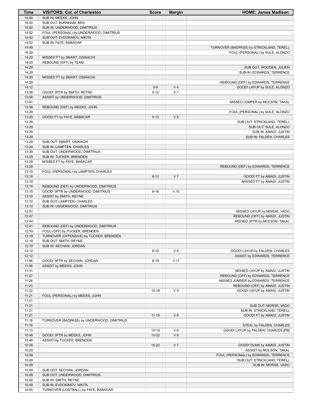| Time           | <b>VISITORS: Col. of Charleston</b>                   | <b>Score</b> | <b>Margin</b>  | <b>HOME: James Madison</b>                           |
|----------------|-------------------------------------------------------|--------------|----------------|------------------------------------------------------|
| 15:00          | SUB IN: MEEKS, JOHN                                   |              |                |                                                      |
| 15:00          | SUB OUT: BURNHAM, BEN                                 |              |                |                                                      |
| 15:00          | SUB IN: UNDERWOOD, DIMITRIUS                          |              |                |                                                      |
| 14:52          | FOUL (PERSONAL) by UNDERWOOD, DIMITRIUS               |              |                |                                                      |
| 14:52          | SUB OUT: EVDOKIMOV, NIKITA                            |              |                |                                                      |
| 14:52          | SUB IN: FAYE, BABACAR                                 |              |                |                                                      |
| 14:49          |                                                       |              |                | TURNOVER (BADPASS) by STRICKLAND, TERELL             |
| 14:29          |                                                       |              |                | FOUL (PERSONAL) by SULE, ALONZO                      |
| 14:29          | MISSED FT by SMART, OSINACHI                          |              |                |                                                      |
| 14:29<br>14:29 | REBOUND (OFF) by TEAM                                 |              |                |                                                      |
| 14:29          |                                                       |              |                | SUB OUT: WOODEN, JULIEN<br>SUB IN: EDWARDS, TERRENCE |
| 14:29          | MISSED FT by SMART, OSINACHI                          |              |                |                                                      |
| 14:28          |                                                       |              |                | REBOUND (DEF) by EDWARDS, TERRENCE                   |
| 14:12          |                                                       | $5-9$        | V <sub>4</sub> | GOOD! LAYUP by SULE, ALONZO                          |
| 13:58          | GOOD! 3PTR by SMITH, REYNE                            | $5 - 12$     | V <sub>7</sub> |                                                      |
| 13:58          | ASSIST by UNDERWOOD, DIMITRIUS                        |              |                |                                                      |
| 13:41          |                                                       |              |                | MISSED JUMPER by MOLSON, TAKAL                       |
| 13:38          | REBOUND (DEF) by MEEKS, JOHN                          |              |                |                                                      |
| 13:29          |                                                       |              |                | FOUL (PERSONAL) by SULE, ALONZO                      |
| 13:29          | GOOD! FT by FAYE, BABACAR                             | $5 - 13$     | V8             |                                                      |
| 13:29          |                                                       |              |                | SUB OUT: STRICKLAND, TERELL                          |
| 13:29          |                                                       |              |                | SUB OUT: SULE, ALONZO                                |
| 13:29          |                                                       |              |                | SUB IN: AMADI, JUSTIN                                |
| 13:29          |                                                       |              |                | SUB IN: FALDEN, CHARLES                              |
| 13:29          | SUB OUT: SMART, OSINACHI                              |              |                |                                                      |
| 13:29          | SUB IN: LAMPTEN, CHARLES                              |              |                |                                                      |
| 13:29          | SUB OUT: UNDERWOOD, DIMITRIUS                         |              |                |                                                      |
| 13:29          | SUB IN: TUCKER, BRENDEN                               |              |                |                                                      |
| 13:29<br>13:28 | MISSED FT by FAYE, BABACAR                            |              |                |                                                      |
| 13:19          | FOUL (PERSONAL) by LAMPTEN, CHARLES                   |              |                | REBOUND (DEF) by EDWARDS, TERRENCE                   |
| 13:19          |                                                       | $6 - 13$     | V <sub>7</sub> | GOOD! FT by AMADI, JUSTIN                            |
| 13:19          |                                                       |              |                | MISSED FT by AMADI, JUSTIN                           |
| 13:19          | REBOUND (DEF) by UNDERWOOD, DIMITRIUS                 |              |                |                                                      |
| 13:15          | GOOD! 3PTR by UNDERWOOD, DIMITRIUS                    | $6 - 16$     | $V$ 10         |                                                      |
| 13:15          | ASSIST by SMITH, REYNE                                |              |                |                                                      |
| 13:10          | SUB OUT: LAMPTEN, CHARLES                             |              |                |                                                      |
| 13:10          | SUB IN: UNDERWOOD, DIMITRIUS                          |              |                |                                                      |
| 12:51          |                                                       |              |                | MISSED LAYUP by MORSE, VADO                          |
| 12:47          |                                                       |              |                | REBOUND (OFF) by AMADI, JUSTIN                       |
| 12:44          |                                                       |              |                | MISSED 3PTR by MOLSON, TAKAL                         |
| 12:41          | REBOUND (DEF) by UNDERWOOD, DIMITRIUS                 |              |                |                                                      |
| 12:19          | FOUL (OFF) by TUCKER, BRENDEN                         |              |                |                                                      |
| 12:19          | TURNOVER (OFFENSIVE) by TUCKER, BRENDEN               |              |                |                                                      |
| 12:19          | SUB OUT: SMITH, REYNE                                 |              |                |                                                      |
| 12:19          | SUB IN: SECHAN, JORDAN                                |              |                |                                                      |
| 12:12          |                                                       | $8 - 16$     | V8             | GOOD! LAYUP by FALDEN, CHARLES                       |
| 12:12          |                                                       |              | $V$ 11         | ASSIST by EDWARDS, TERRENCE                          |
| 11:56<br>11:56 | GOOD! 3PTR by SECHAN, JORDAN<br>ASSIST by MEEKS, JOHN | $8 - 19$     |                |                                                      |
| 11:31          |                                                       |              |                | MISSED LAYUP by AMADI, JUSTIN                        |
| 11:27          |                                                       |              |                | REBOUND (OFF) by EDWARDS, TERRENCE                   |
| 11:26          |                                                       |              |                | MISSED JUMPER by EDWARDS, TERRENCE                   |
| 11:23          |                                                       |              |                | REBOUND (OFF) by AMADI, JUSTIN                       |
| 11:22          |                                                       | $10-19$      | V <sub>9</sub> | GOOD! LAYUP by AMADI, JUSTIN                         |
| 11:21          | FOUL (PERSONAL) by MEEKS, JOHN                        |              |                |                                                      |
| 11:21          |                                                       |              |                |                                                      |
| 11:21          |                                                       |              |                | SUB OUT: MORSE, VADO                                 |
| 11:21          |                                                       |              |                | SUB IN: STRICKLAND, TERELL                           |
| 11:21          |                                                       | $11 - 19$    | V8             | GOOD! FT by AMADI, JUSTIN                            |
| 11:18          | TURNOVER (BADPASS) by UNDERWOOD, DIMITRIUS            |              |                |                                                      |
| 11:18          |                                                       |              |                | STEAL by FALDEN, CHARLES                             |
| 11:13          |                                                       | 13-19        | $V_6$          | GOOD! LAYUP by FALDEN, CHARLES [FB]                  |
| 10:48          | GOOD! 3PTR by MEEKS, JOHN                             | 13-22        | V <sub>9</sub> |                                                      |
| 10:48          | ASSIST by TUCKER, BRENDEN                             |              |                |                                                      |
| 10:29          |                                                       | $15 - 22$    | V <sub>7</sub> | GOOD! DUNK by AMADI, JUSTIN                          |
| 10:29          |                                                       |              |                | ASSIST by MOLSON, TAKAL                              |
| 10:09          |                                                       |              |                | FOUL (PERSONAL) by EDWARDS, TERRENCE                 |
| 10:09          |                                                       |              |                | SUB OUT: STRICKLAND, TERELL                          |
| 10:09<br>10:09 | SUB OUT: SECHAN, JORDAN                               |              |                | SUB IN: MORSE, VADO                                  |
| 10:09          | SUB OUT: UNDERWOOD, DIMITRIUS                         |              |                |                                                      |
| 10:09          | SUB IN: SMITH, REYNE                                  |              |                |                                                      |
| 10:09          | SUB IN: EVDOKIMOV, NIKITA                             |              |                |                                                      |
| 10:05          | TURNOVER (LOSTBALL) by FAYE, BABACAR                  |              |                |                                                      |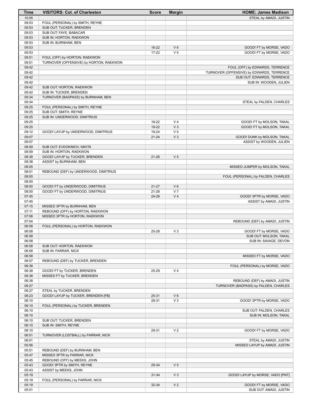| Time           | <b>VISITORS: Col. of Charleston</b>     | <b>Score</b> | <b>Margin</b>  | <b>HOME: James Madison</b>                                              |
|----------------|-----------------------------------------|--------------|----------------|-------------------------------------------------------------------------|
| 10:05          |                                         |              |                | STEAL by AMADI, JUSTIN                                                  |
| 09:53          | FOUL (PERSONAL) by SMITH, REYNE         |              |                |                                                                         |
| 09:53          | SUB OUT: TUCKER, BRENDEN                |              |                |                                                                         |
| 09:53          | SUB OUT: FAYE, BABACAR                  |              |                |                                                                         |
| 09:53          | SUB IN: HORTON, RAEKWON                 |              |                |                                                                         |
| 09:53          | SUB IN: BURNHAM, BEN                    |              |                |                                                                         |
| 09:53          |                                         | $16-22$      | $V_6$          | GOOD! FT by MORSE, VADO                                                 |
| 09:53          |                                         | $17 - 22$    | V <sub>5</sub> | GOOD! FT by MORSE, VADO                                                 |
| 09:51          | FOUL (OFF) by HORTON, RAEKWON           |              |                |                                                                         |
| 09:51<br>09:42 | TURNOVER (OFFENSIVE) by HORTON, RAEKWON |              |                |                                                                         |
| 09:42          |                                         |              |                | FOUL (OFF) by EDWARDS, TERRENCE                                         |
| 09:42          |                                         |              |                | TURNOVER (OFFENSIVE) by EDWARDS, TERRENCE<br>SUB OUT: EDWARDS, TERRENCE |
| 09:42          |                                         |              |                | SUB IN: WOODEN, JULIEN                                                  |
| 09:42          | SUB OUT: HORTON, RAEKWON                |              |                |                                                                         |
| 09:42          | SUB IN: TUCKER, BRENDEN                 |              |                |                                                                         |
| 09:34          | TURNOVER (BADPASS) by BURNHAM, BEN      |              |                |                                                                         |
| 09:34          |                                         |              |                | STEAL by FALDEN, CHARLES                                                |
| 09:25          | FOUL (PERSONAL) by SMITH, REYNE         |              |                |                                                                         |
| 09:25          | SUB OUT: SMITH, REYNE                   |              |                |                                                                         |
| 09:25          | SUB IN: UNDERWOOD, DIMITRIUS            |              |                |                                                                         |
| 09:25          |                                         | 18-22        | V <sub>4</sub> | GOOD! FT by MOLSON, TAKAL                                               |
| 09:25          |                                         | 19-22        | $V_3$          | GOOD! FT by MOLSON, TAKAL                                               |
| 09:12          | GOOD! LAYUP by UNDERWOOD, DIMITRIUS     | 19-24        | V <sub>5</sub> |                                                                         |
| 09:07          |                                         | $21 - 24$    | V <sub>3</sub> | GOOD! DUNK by MOLSON, TAKAL                                             |
| 09:07          |                                         |              |                | ASSIST by WOODEN, JULIEN                                                |
| 08:59          | SUB OUT: EVDOKIMOV, NIKITA              |              |                |                                                                         |
| 08:59          | SUB IN: HORTON, RAEKWON                 |              |                |                                                                         |
| 08:38          | GOOD! LAYUP by TUCKER, BRENDEN          | $21 - 26$    | V <sub>5</sub> |                                                                         |
| 08:38          | ASSIST by BURNHAM, BEN                  |              |                |                                                                         |
| 08:05          |                                         |              |                | MISSED JUMPER by MOLSON, TAKAL                                          |
| 08:01          | REBOUND (DEF) by UNDERWOOD, DIMITRIUS   |              |                |                                                                         |
| 08:00          |                                         |              |                | FOUL (PERSONAL) by FALDEN, CHARLES                                      |
| 08:00          |                                         |              |                |                                                                         |
| 08:00          | GOOD! FT by UNDERWOOD, DIMITRIUS        | $21 - 27$    | $V_6$          |                                                                         |
| 08:00          | GOOD! FT by UNDERWOOD, DIMITRIUS        | $21 - 28$    | V <sub>7</sub> |                                                                         |
| 07:45          |                                         | 24-28        | V <sub>4</sub> | GOOD! 3PTR by MORSE, VADO                                               |
| 07:45          |                                         |              |                | ASSIST by AMADI, JUSTIN                                                 |
| 07:15          | MISSED 3PTR by BURNHAM, BEN             |              |                |                                                                         |
| 07:11          | REBOUND (OFF) by HORTON, RAEKWON        |              |                |                                                                         |
| 07:08          | MISSED 3PTR by HORTON, RAEKWON          |              |                |                                                                         |
| 07:04          |                                         |              |                | REBOUND (DEF) by AMADI, JUSTIN                                          |
| 06:58          | FOUL (PERSONAL) by HORTON, RAEKWON      |              |                |                                                                         |
| 06:58          |                                         | 25-28        | $V_3$          | GOOD! FT by MORSE, VADO                                                 |
| 06:58          |                                         |              |                | SUB OUT: MOLSON, TAKAL                                                  |
| 06:58          |                                         |              |                | SUB IN: SAVAGE, DEVON                                                   |
| 06:58          | SUB OUT: HORTON, RAEKWON                |              |                |                                                                         |
| 06:58          | SUB IN: FARRAR, NICK                    |              |                |                                                                         |
| 06:58<br>06:57 |                                         |              |                | MISSED FT by MORSE, VADO                                                |
| 06:38          | REBOUND (DEF) by TUCKER, BRENDEN        |              |                | FOUL (PERSONAL) by MORSE, VADO                                          |
| 06:38          | GOOD! FT by TUCKER, BRENDEN             | 25-29        | V <sub>4</sub> |                                                                         |
| 06:38          | MISSED FT by TUCKER, BRENDEN            |              |                |                                                                         |
| 06:38          |                                         |              |                | REBOUND (DEF) by AMADI, JUSTIN                                          |
| 06:27          |                                         |              |                | TURNOVER (BADPASS) by FALDEN, CHARLES                                   |
| 06:27          | STEAL by TUCKER, BRENDEN                |              |                |                                                                         |
| 06:23          | GOOD! LAYUP by TUCKER, BRENDEN [FB]     | 25-31        | $V_6$          |                                                                         |
| 06:10          |                                         | 28-31        | $V_3$          | GOOD! 3PTR by MORSE, VADO                                               |
| 06:10          | FOUL (PERSONAL) by TUCKER, BRENDEN      |              |                |                                                                         |
| 06:10          |                                         |              |                | SUB OUT: FALDEN, CHARLES                                                |
| 06:10          |                                         |              |                | SUB IN: MOLSON, TAKAL                                                   |
| 06:10          | SUB OUT: TUCKER, BRENDEN                |              |                |                                                                         |
| 06:10          | SUB IN: SMITH, REYNE                    |              |                |                                                                         |
| 06:10          |                                         | 29-31        | V <sub>2</sub> | GOOD! FT by MORSE, VADO                                                 |
| 06:01          | TURNOVER (LOSTBALL) by FARRAR, NICK     |              |                |                                                                         |
| 06:01          |                                         |              |                | STEAL by AMADI, JUSTIN                                                  |
| 05:56          |                                         |              |                | MISSED LAYUP by AMADI, JUSTIN                                           |
| 05:51          | REBOUND (DEF) by BURNHAM, BEN           |              |                |                                                                         |
| 05:47          | MISSED 3PTR by FARRAR, NICK             |              |                |                                                                         |
| 05:45          | REBOUND (OFF) by MEEKS, JOHN            |              |                |                                                                         |
| 05:43          | GOOD! 3PTR by SMITH, REYNE              | 29-34        | V <sub>5</sub> |                                                                         |
| 05:43          | ASSIST by MEEKS, JOHN                   |              |                |                                                                         |
| 05:19          |                                         | $31 - 34$    | $V_3$          | GOOD! LAYUP by MORSE, VADO [PNT]                                        |
| 05:19          | FOUL (PERSONAL) by FARRAR, NICK         |              |                |                                                                         |
| 05:19          |                                         | 32-34        | V <sub>2</sub> | GOOD! FT by MORSE, VADO                                                 |
| 05:01          |                                         |              |                | SUB OUT: AMADI, JUSTIN                                                  |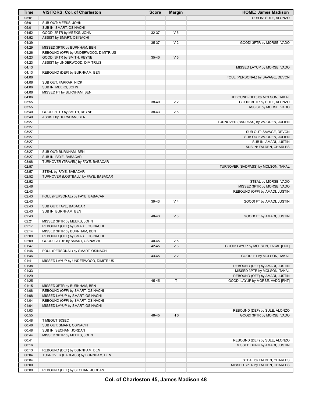| Time           | <b>VISITORS: Col. of Charleston</b>   | <b>Score</b> | <b>Margin</b>  | <b>HOME: James Madison</b>                                    |
|----------------|---------------------------------------|--------------|----------------|---------------------------------------------------------------|
| 05:01          |                                       |              |                | SUB IN: SULE, ALONZO                                          |
| 05:01          | SUB OUT: MEEKS, JOHN                  |              |                |                                                               |
| 05:01          | SUB IN: SMART, OSINACHI               |              |                |                                                               |
| 04:52          | GOOD! 3PTR by MEEKS, JOHN             | 32-37        | V <sub>5</sub> |                                                               |
| 04:52          | ASSIST by SMART, OSINACHI             |              |                |                                                               |
| 04:39          | MISSED 3PTR by BURNHAM, BEN           | 35-37        | V <sub>2</sub> | GOOD! 3PTR by MORSE, VADO                                     |
| 04:29<br>04:26 | REBOUND (OFF) by UNDERWOOD, DIMITRIUS |              |                |                                                               |
| 04:23          | GOOD! 3PTR by SMITH, REYNE            | $35 - 40$    | V <sub>5</sub> |                                                               |
| 04:23          | ASSIST by UNDERWOOD, DIMITRIUS        |              |                |                                                               |
| 04:13          |                                       |              |                | MISSED LAYUP by MORSE, VADO                                   |
| 04:13          | REBOUND (DEF) by BURNHAM, BEN         |              |                |                                                               |
| 04:06          |                                       |              |                | FOUL (PERSONAL) by SAVAGE, DEVON                              |
| 04:06          | SUB OUT: FARRAR, NICK                 |              |                |                                                               |
| 04:06          | SUB IN: MEEKS, JOHN                   |              |                |                                                               |
| 04:06          | MISSED FT by BURNHAM, BEN             |              |                |                                                               |
| 04:06          |                                       |              |                | REBOUND (DEF) by MOLSON, TAKAL                                |
| 03:55          |                                       | 38-40        | V <sub>2</sub> | GOOD! 3PTR by SULE, ALONZO                                    |
| 03:55          |                                       |              |                | ASSIST by MORSE, VADO                                         |
| 03:40<br>03:40 | GOOD! 3PTR by SMITH, REYNE            | 38-43        | V <sub>5</sub> |                                                               |
| 03:27          | ASSIST by BURNHAM, BEN                |              |                | TURNOVER (BADPASS) by WOODEN, JULIEN                          |
| 03:27          |                                       |              |                |                                                               |
| 03:27          |                                       |              |                | SUB OUT: SAVAGE, DEVON                                        |
| 03:27          |                                       |              |                | SUB OUT: WOODEN, JULIEN                                       |
| 03:27          |                                       |              |                | SUB IN: AMADI, JUSTIN                                         |
| 03:27          |                                       |              |                | SUB IN: FALDEN, CHARLES                                       |
| 03:27          | SUB OUT: BURNHAM, BEN                 |              |                |                                                               |
| 03:27          | SUB IN: FAYE, BABACAR                 |              |                |                                                               |
| 03:08          | TURNOVER (TRAVEL) by FAYE, BABACAR    |              |                |                                                               |
| 02:57          |                                       |              |                | TURNOVER (BADPASS) by MOLSON, TAKAL                           |
| 02:57          | STEAL by FAYE, BABACAR                |              |                |                                                               |
| 02:52          | TURNOVER (LOSTBALL) by FAYE, BABACAR  |              |                |                                                               |
| 02:52          |                                       |              |                | STEAL by MORSE, VADO                                          |
| 02:46          |                                       |              |                | MISSED 3PTR by MORSE, VADO                                    |
| 02:43<br>02:43 | FOUL (PERSONAL) by FAYE, BABACAR      |              |                | REBOUND (OFF) by AMADI, JUSTIN                                |
| 02:43          |                                       | 39-43        | V <sub>4</sub> | GOOD! FT by AMADI, JUSTIN                                     |
| 02:43          | SUB OUT: FAYE, BABACAR                |              |                |                                                               |
| 02:43          | SUB IN: BURNHAM, BEN                  |              |                |                                                               |
| 02:43          |                                       | 40-43        | $V_3$          | GOOD! FT by AMADI, JUSTIN                                     |
| 02:21          | MISSED 3PTR by MEEKS, JOHN            |              |                |                                                               |
| 02:17          | REBOUND (OFF) by SMART, OSINACHI      |              |                |                                                               |
| 02:14          | MISSED 3PTR by BURNHAM, BEN           |              |                |                                                               |
| 02:09          | REBOUND (OFF) by SMART, OSINACHI      |              |                |                                                               |
| 02:09          | GOOD! LAYUP by SMART, OSINACHI        | 40-45        | V <sub>5</sub> |                                                               |
| 01:47          |                                       | 42-45        | $V_3$          | GOOD! LAYUP by MOLSON, TAKAL [PNT]                            |
| 01:46          | FOUL (PERSONAL) by SMART, OSINACHI    |              |                |                                                               |
| 01:46          |                                       | 43-45        | V <sub>2</sub> | GOOD! FT by MOLSON, TAKAL                                     |
| 01:41<br>01:38 | MISSED LAYUP by UNDERWOOD, DIMITRIUS  |              |                | REBOUND (DEF) by AMADI, JUSTIN                                |
| 01:33          |                                       |              |                | MISSED 3PTR by MOLSON, TAKAL                                  |
| 01:29          |                                       |              |                | REBOUND (OFF) by AMADI, JUSTIN                                |
| 01:25          |                                       | 45-45        | Т              | GOOD! LAYUP by MORSE, VADO [PNT]                              |
| 01:15          | MISSED 3PTR by BURNHAM, BEN           |              |                |                                                               |
| 01:08          | REBOUND (OFF) by SMART, OSINACHI      |              |                |                                                               |
| 01:08          | MISSED LAYUP by SMART, OSINACHI       |              |                |                                                               |
| 01:04          | REBOUND (OFF) by SMART, OSINACHI      |              |                |                                                               |
| 01:04          | MISSED LAYUP by SMART, OSINACHI       |              |                |                                                               |
| 01:03          |                                       |              |                | REBOUND (DEF) by SULE, ALONZO                                 |
| 00:55          |                                       | 48-45        | $H_3$          | GOOD! 3PTR by MORSE, VADO                                     |
| 00:48          | TIMEOUT 30SEC                         |              |                |                                                               |
| 00:48          | SUB OUT: SMART, OSINACHI              |              |                |                                                               |
| 00:48          | SUB IN: SECHAN, JORDAN                |              |                |                                                               |
| 00:44          | MISSED 3PTR by MEEKS, JOHN            |              |                |                                                               |
| 00:41<br>00:16 |                                       |              |                | REBOUND (DEF) by SULE, ALONZO<br>MISSED DUNK by AMADI, JUSTIN |
| 00:13          | REBOUND (DEF) by BURNHAM, BEN         |              |                |                                                               |
| 00:04          | TURNOVER (BADPASS) by BURNHAM, BEN    |              |                |                                                               |
| 00:04          |                                       |              |                | STEAL by FALDEN, CHARLES                                      |
| 00:00          |                                       |              |                | MISSED 3PTR by FALDEN, CHARLES                                |
| 00:00          | REBOUND (DEF) by SECHAN, JORDAN       |              |                |                                                               |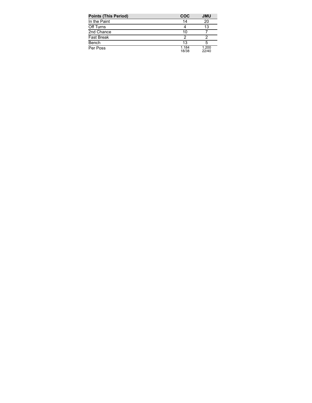| <b>Points (This Period)</b> | <b>COC</b>     | <b>JMU</b>     |
|-----------------------------|----------------|----------------|
| In the Paint                | 14             | 20             |
| Off Turns                   |                | 13             |
| 2nd Chance                  | 10             |                |
| <b>Fast Break</b>           | 2              |                |
| Bench                       | 13             | 5              |
| Per Poss                    | 1.184<br>18/38 | 1.200<br>22/40 |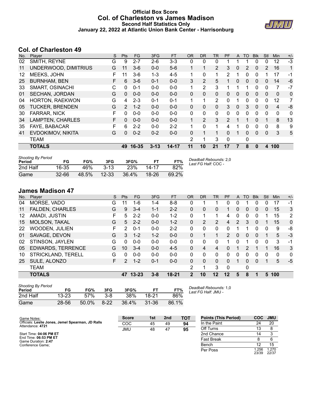### **Official Box Score Col. of Charleston vs James Madison Second Half Statistics Only January 22, 2022 at Atlantic Union Bank Center - Harrisonburg**



## **Col. of Charleston 49**

| No. | Plaver                 | S | <b>Pts</b>     | <b>FG</b> | 3FG      | <b>FT</b> | <b>OR</b>      | <b>DR</b>    | TR             | <b>PF</b>     | $\mathsf{A}$ | TO       | <b>B</b> lk | Stl      | <b>Min</b>   | $+/-$ |
|-----|------------------------|---|----------------|-----------|----------|-----------|----------------|--------------|----------------|---------------|--------------|----------|-------------|----------|--------------|-------|
| 02  | SMITH, REYNE           | G | 9              | $2 - 7$   | $2-6$    | $3 - 3$   | 0              | 0            | 0              |               |              |          | 0           | 0        | 12           | $-3$  |
| 11  | UNDERWOOD, DIMITRIUS   | G | 11             | $3-6$     | $0 - 0$  | $5-6$     |                | 1            | $\overline{2}$ | 3             | 0            | 2        | 0           | 2        | 16           | 1     |
| 12  | MEEKS, JOHN            | F | 11             | $3-6$     | $1 - 3$  | $4 - 5$   | 1              | $\mathbf{0}$ | 1              | $\mathcal{P}$ |              | 0        | 0           | 1        | 17           | -1    |
| 25  | <b>BURNHAM, BEN</b>    | F | 6              | $3-6$     | $0 - 1$  | $0 - 0$   | 3              | 2            | 5              |               | 0            | 0        | 0           | 0        | 14           | -6    |
| 33  | <b>SMART, OSINACHI</b> | C | $\Omega$       | $0 - 1$   | $0 - 0$  | $0-0$     | 1              | 2            | 3              |               |              | 1        | 0           | 0        | 7            | $-7$  |
| 01  | <b>SECHAN, JORDAN</b>  | G | $\Omega$       | $0 - 0$   | $0 - 0$  | $0 - 0$   | 0              | 0            | $\mathbf{0}$   | $\Omega$      | 0            | 0        | 0           | 0        | 0            | 0     |
| 04  | <b>HORTON, RAEKWON</b> | G | 4              | $2 - 3$   | $0 - 1$  | $0 - 1$   | $\mathbf 1$    | 1            | $\overline{2}$ | $\Omega$      |              | 0        | 0           | 0        | 12           | 7     |
| 05  | <b>TUCKER, BRENDEN</b> | G | $\overline{2}$ | $1 - 2$   | $0 - 0$  | $0 - 0$   | 0              | 0            | $\mathbf{0}$   | 3             | $\Omega$     | 3        | $\Omega$    | 0        | 4            | -8    |
| 30  | FARRAR, NICK           | F | 0              | $0 - 0$   | $0 - 0$  | $0-0$     | 0              | $\Omega$     | $\mathbf{0}$   | $\Omega$      | 0            | $\Omega$ | 0           | $\Omega$ | $\mathbf{0}$ | 0     |
| 34  | LAMPTEN, CHARLES       | F | $\Omega$       | $0 - 0$   | $0 - 0$  | $0 - 0$   | 1              | 2            | 3              | $\mathcal{P}$ |              |          | 0           | 1        | 8            | 13    |
| 35  | <b>FAYE, BABACAR</b>   | F | 6              | $2 - 2$   | $0 - 0$  | $2 - 2$   | 1              | $\Omega$     | 1.             | 4             |              | 0        | 0           | $\Omega$ | 8            | 9     |
| 41  | EVDOKIMOV, NIKITA      | G | $\Omega$       | $0 - 2$   | $0 - 2$  | $0 - 0$   | 0              | 1            |                | $\Omega$      |              | $\Omega$ | 0           | 0        | 3            | 5     |
|     | <b>TEAM</b>            |   |                |           |          |           | $\overline{2}$ | 1            | 3              | $\Omega$      |              | 0        |             |          |              |       |
|     | <b>TOTALS</b>          |   | 49             | 16-35     | $3 - 13$ | 14-17     | 11             | 10           | 21             | 17            |              | 8        | 0           | 4        | 100          |       |

| <b>Shooting By Period</b><br>Period | FG        | FG%   | 3FG       | 3FG%  | FТ      | FT%   | Deadball Rebounds: 2,0<br>Last FG Half: COC - |
|-------------------------------------|-----------|-------|-----------|-------|---------|-------|-----------------------------------------------|
| 2nd Half                            | 16-35     | 46%   | $3-13$    | 23%   | 14-17   | 82%   |                                               |
| Game                                | $32 - 66$ | 48.5% | $12 - 33$ | 36.4% | $18-26$ | 69.2% |                                               |

## **James Madison 47**

| No. | Plaver                   | S. | <b>Pts</b> | <b>FG</b> | 3FG     | <b>FT</b> | <b>OR</b>      | DR             | TR             | PF             | A | TO           | <b>Blk</b> | Stl      | Min         | $+/-$    |
|-----|--------------------------|----|------------|-----------|---------|-----------|----------------|----------------|----------------|----------------|---|--------------|------------|----------|-------------|----------|
| 04  | MORSE, VADO              | G  | 11         | 1-6       | 1-4     | $8 - 8$   | 0              |                |                | 0              | 0 |              | 0          | 0        | 17          | -1       |
| 11  | <b>FALDEN, CHARLES</b>   | G  | 9          | $3 - 4$   | $1 - 1$ | $2 - 2$   | 0              | 0              | 0              |                | 0 | 0            | 0          | 0        | 15          | 3        |
| 12  | AMADI, JUSTIN            | F  | 5          | $2 - 2$   | $0 - 0$ | $1 - 2$   | 0              |                |                | 4              | 0 | 0            | 0          |          | 15          | 2        |
| 15  | <b>MOLSON, TAKAL</b>     | G  | 5          | $2 - 2$   | $0 - 0$ | $1 - 2$   | $\Omega$       | 2              | $\overline{2}$ | 4              | 2 | 3            | 0          |          | 15          | $\Omega$ |
| 22  | <b>WOODEN, JULIEN</b>    | F  | 2          | $0 - 1$   | $0 - 0$ | $2 - 2$   | $\Omega$       | 0              | 0              | 0              |   |              | 0          | 0        | 9           | -8       |
| 01  | SAVAGE, DEVON            | G  | 3          | $1 - 2$   | $1 - 2$ | $0 - 0$   | 0              | 1              |                | $\overline{2}$ | 0 | $\Omega$     | 0          |          | 5           | $-3$     |
| 02  | STINSON, JAYLEN          | G  | 0          | $0 - 0$   | $0 - 0$ | $0 - 0$   | 0              | 0              | 0              |                | 0 | 1            | 0          | $\Omega$ | 3           | -1       |
| 05  | <b>EDWARDS, TERRENCE</b> | G  | 10         | $3 - 4$   | $0 - 0$ | $4 - 5$   | $\Omega$       | $\overline{4}$ | 4              | 0              |   | 2            |            |          | 16          | 3        |
| 10  | STRICKLAND, TERELL       | G  | 0          | $0 - 0$   | $0 - 0$ | $0 - 0$   | 0              | 0              | 0              | 0              | 0 | 0            | 0          | 0        | $\mathbf 0$ | 0        |
| 25  | SULE, ALONZO             | F  | 2          | $1 - 2$   | $0 - 1$ | $0 - 0$   | $\Omega$       | 0              | $\Omega$       | 0              |   | 0            | 0          |          | 5           | $-5$     |
|     | TEAM                     |    |            |           |         |           | 2              | 1              | 3              | $\Omega$       |   | $\mathbf{0}$ |            |          |             |          |
|     | <b>TOTALS</b>            |    | 47         | $13 - 23$ | $3 - 8$ | $18 - 21$ | $\overline{2}$ | 10             | $12 \,$        | 12             | 5 | 8            |            | 5        | 100         |          |

| <b>Shooting By Period</b><br>Period | FG    | FG%   | 3FG      | 3FG%  | FТ        | FT%   | Dea<br>Lasi |
|-------------------------------------|-------|-------|----------|-------|-----------|-------|-------------|
| 2nd Half                            | 13-23 | 57%   | $3 - 8$  | 38%   | 18-21     | 86%   |             |
| Game                                | 28-56 | 50.0% | $8 - 22$ | 36.4% | $31 - 36$ | 86.1% |             |

*Deadball Rebounds:* 1,0 *Last FG Half:* JMU -

| Game Notes:                                                           | <b>Score</b> | 1st | 2 <sub>nd</sub> | <b>TOT</b> | <b>Points (This Period)</b> | <b>COC</b>    | <b>JMU</b>     |
|-----------------------------------------------------------------------|--------------|-----|-----------------|------------|-----------------------------|---------------|----------------|
| Officials: Leslie Jones, Jemel Spearman, JD Ralls<br>Attendance: 4721 | COC          | 45  | 49              | 94         | In the Paint                | 24            | 20             |
|                                                                       | JMU          | 48  | 47              | 95         | Off Turns                   | 13            |                |
| Start Time: 04:06 PM ET                                               |              |     |                 |            | 2nd Chance                  | 14            |                |
| End Time: 06:53 PM ET<br>Game Duration: 2:47                          |              |     |                 |            | <b>Fast Break</b>           |               |                |
| Conference Game:                                                      |              |     |                 |            | Bench                       |               | 15             |
|                                                                       |              |     |                 |            | Per Poss                    | .256<br>23/39 | 1.270<br>22/37 |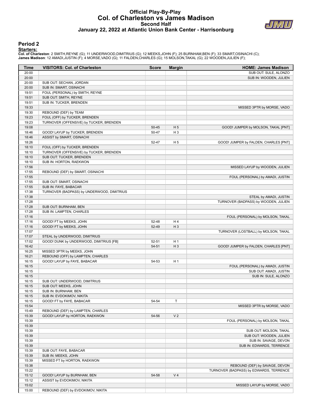### **Official Play-By-Play Col. of Charleston vs James Madison Second Half January 22, 2022 at Atlantic Union Bank Center - Harrisonburg**



#### **Period 2**

#### **Starters:**

Col. of Charleston: 2 SMITH,REYNE (G); 11 UNDERWOOD,DIMITRIUS (G); 12 MEEKS,JOHN (F); 25 BURNHAM,BEN (F); 33 SMART,OSINACHI (C);<br>James Madison: 12 AMADI,JUSTIN (F); 4 MORSE,VADO (G); 11 FALDEN,CHARLES (G); 15 MOLSON,TAKAL

| Time           | <b>VISITORS: Col. of Charleston</b>                    | <b>Score</b>   | <b>Margin</b>           | <b>HOME: James Madison</b>              |
|----------------|--------------------------------------------------------|----------------|-------------------------|-----------------------------------------|
| 20:00          |                                                        |                |                         | SUB OUT: SULE, ALONZO                   |
| 20:00          |                                                        |                |                         | SUB IN: WOODEN, JULIEN                  |
| 20:00          | SUB OUT: SECHAN, JORDAN                                |                |                         |                                         |
| 20:00          | SUB IN: SMART, OSINACHI                                |                |                         |                                         |
| 19:51          | FOUL (PERSONAL) by SMITH, REYNE                        |                |                         |                                         |
| 19:51          | SUB OUT: SMITH, REYNE                                  |                |                         |                                         |
| 19:51          | SUB IN: TUCKER, BRENDEN                                |                |                         |                                         |
| 19:33          |                                                        |                |                         | MISSED 3PTR by MORSE, VADO              |
| 19:30          | REBOUND (DEF) by TEAM                                  |                |                         |                                         |
| 19:23          | FOUL (OFF) by TUCKER, BRENDEN                          |                |                         |                                         |
| 19:23          | TURNOVER (OFFENSIVE) by TUCKER, BRENDEN                |                |                         |                                         |
| 19:08<br>18:46 | GOOD! LAYUP by TUCKER, BRENDEN                         | 50-45<br>50-47 | H <sub>5</sub><br>$H_3$ | GOOD! JUMPER by MOLSON, TAKAL [PNT]     |
| 18:46          | ASSIST by SMART, OSINACHI                              |                |                         |                                         |
| 18:26          |                                                        | 52-47          | H <sub>5</sub>          | GOOD! JUMPER by FALDEN, CHARLES [PNT]   |
| 18:10          | FOUL (OFF) by TUCKER, BRENDEN                          |                |                         |                                         |
| 18:10          | TURNOVER (OFFENSIVE) by TUCKER, BRENDEN                |                |                         |                                         |
| 18:10          | SUB OUT: TUCKER, BRENDEN                               |                |                         |                                         |
| 18:10          | SUB IN: HORTON, RAEKWON                                |                |                         |                                         |
| 17:56          |                                                        |                |                         | MISSED LAYUP by WOODEN, JULIEN          |
| 17:55          | REBOUND (DEF) by SMART, OSINACHI                       |                |                         |                                         |
| 17:55          |                                                        |                |                         | FOUL (PERSONAL) by AMADI, JUSTIN        |
| 17:55          | SUB OUT: SMART, OSINACHI                               |                |                         |                                         |
| 17:55          | SUB IN: FAYE, BABACAR                                  |                |                         |                                         |
| 17:38          | TURNOVER (BADPASS) by UNDERWOOD, DIMITRIUS             |                |                         |                                         |
| 17:38          |                                                        |                |                         | STEAL by AMADI, JUSTIN                  |
| 17:28          |                                                        |                |                         | TURNOVER (BADPASS) by WOODEN, JULIEN    |
| 17:28          | SUB OUT: BURNHAM, BEN                                  |                |                         |                                         |
| 17:28          | SUB IN: LAMPTEN, CHARLES                               |                |                         |                                         |
| 17:16          |                                                        |                |                         | FOUL (PERSONAL) by MOLSON, TAKAL        |
| 17:16          | GOOD! FT by MEEKS, JOHN                                | 52-48          | H4                      |                                         |
| 17:16          | GOOD! FT by MEEKS, JOHN                                | 52-49          | $H_3$                   |                                         |
| 17:07          |                                                        |                |                         | TURNOVER (LOSTBALL) by MOLSON, TAKAL    |
| 17:07          | STEAL by UNDERWOOD, DIMITRIUS                          |                |                         |                                         |
| 17:02          | GOOD! DUNK by UNDERWOOD, DIMITRIUS [FB]                | 52-51          | H <sub>1</sub>          |                                         |
| 16:42          |                                                        | 54-51          | $H_3$                   | GOOD! JUMPER by FALDEN, CHARLES [PNT]   |
| 16:25          | MISSED 3PTR by MEEKS, JOHN                             |                |                         |                                         |
| 16:21          | REBOUND (OFF) by LAMPTEN, CHARLES                      |                |                         |                                         |
| 16:15          | GOOD! LAYUP by FAYE, BABACAR                           | 54-53          | H <sub>1</sub>          |                                         |
| 16:15          |                                                        |                |                         | FOUL (PERSONAL) by AMADI, JUSTIN        |
| 16:15          |                                                        |                |                         | SUB OUT: AMADI, JUSTIN                  |
| 16:15          |                                                        |                |                         | SUB IN: SULE, ALONZO                    |
| 16:15          | SUB OUT: UNDERWOOD, DIMITRIUS                          |                |                         |                                         |
| 16:15          | SUB OUT: MEEKS, JOHN                                   |                |                         |                                         |
| 16:15          | SUB IN: BURNHAM, BEN                                   |                |                         |                                         |
| 16:15<br>16:15 | SUB IN: EVDOKIMOV, NIKITA<br>GOOD! FT by FAYE, BABACAR | 54-54          | $\mathsf T$             |                                         |
| 15:54          |                                                        |                |                         | MISSED 3PTR by MORSE, VADO              |
| 15:49          | REBOUND (DEF) by LAMPTEN, CHARLES                      |                |                         |                                         |
| 15:39          | GOOD! LAYUP by HORTON, RAEKWON                         | 54-56          | V <sub>2</sub>          |                                         |
| 15:39          |                                                        |                |                         | FOUL (PERSONAL) by MOLSON, TAKAL        |
| 15:39          |                                                        |                |                         |                                         |
| 15:39          |                                                        |                |                         | SUB OUT: MOLSON, TAKAL                  |
| 15:39          |                                                        |                |                         | SUB OUT: WOODEN, JULIEN                 |
| 15:39          |                                                        |                |                         | SUB IN: SAVAGE, DEVON                   |
| 15:39          |                                                        |                |                         | SUB IN: EDWARDS, TERRENCE               |
| 15:39          | SUB OUT: FAYE, BABACAR                                 |                |                         |                                         |
| 15:39          | SUB IN: MEEKS, JOHN                                    |                |                         |                                         |
| 15:39          | MISSED FT by HORTON, RAEKWON                           |                |                         |                                         |
| 15:38          |                                                        |                |                         | REBOUND (DEF) by SAVAGE, DEVON          |
| 15:22          |                                                        |                |                         | TURNOVER (BADPASS) by EDWARDS, TERRENCE |
| 15:12          | GOOD! LAYUP by BURNHAM, BEN                            | 54-58          | V <sub>4</sub>          |                                         |
| 15:12          | ASSIST by EVDOKIMOV, NIKITA                            |                |                         |                                         |
| 15:02          |                                                        |                |                         | MISSED LAYUP by MORSE, VADO             |
| 15:00          | REBOUND (DEF) by EVDOKIMOV, NIKITA                     |                |                         |                                         |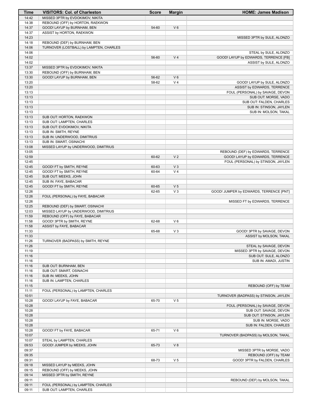| Time           | <b>VISITORS: Col. of Charleston</b>     | <b>Score</b> | <b>Margin</b>  | <b>HOME: James Madison</b>                       |
|----------------|-----------------------------------------|--------------|----------------|--------------------------------------------------|
| 14:42          | MISSED 3PTR by EVDOKIMOV, NIKITA        |              |                |                                                  |
| 14:38          | REBOUND (OFF) by HORTON, RAEKWON        |              |                |                                                  |
| 14:37          | GOOD! LAYUP by BURNHAM, BEN             | 54-60        | $V_6$          |                                                  |
| 14:37          | ASSIST by HORTON, RAEKWON               |              |                |                                                  |
| 14:23          |                                         |              |                | MISSED 3PTR by SULE, ALONZO                      |
| 14:18          | REBOUND (DEF) by BURNHAM, BEN           |              |                |                                                  |
| 14:06          | TURNOVER (LOSTBALL) by LAMPTEN, CHARLES |              |                |                                                  |
| 14:06          |                                         |              |                | STEAL by SULE, ALONZO                            |
| 14:02          |                                         | 56-60        | V <sub>4</sub> | GOOD! LAYUP by EDWARDS, TERRENCE [FB]            |
| 14:02          |                                         |              |                | ASSIST by SULE, ALONZO                           |
| 13:37          | MISSED 3PTR by EVDOKIMOV, NIKITA        |              |                |                                                  |
| 13:30          | REBOUND (OFF) by BURNHAM, BEN           |              |                |                                                  |
| 13:30          | GOOD! LAYUP by BURNHAM, BEN             | 56-62        | $V_6$          |                                                  |
| 13:20          |                                         | 58-62        | V <sub>4</sub> | GOOD! LAYUP by SULE, ALONZO                      |
| 13:20          |                                         |              |                | ASSIST by EDWARDS, TERRENCE                      |
| 13:13          |                                         |              |                | FOUL (PERSONAL) by SAVAGE, DEVON                 |
| 13:13          |                                         |              |                | SUB OUT: MORSE, VADO                             |
| 13:13<br>13:13 |                                         |              |                | SUB OUT: FALDEN, CHARLES                         |
| 13:13          |                                         |              |                | SUB IN: STINSON, JAYLEN<br>SUB IN: MOLSON, TAKAL |
| 13:13          | SUB OUT: HORTON, RAEKWON                |              |                |                                                  |
| 13:13          | SUB OUT: LAMPTEN, CHARLES               |              |                |                                                  |
| 13:13          | SUB OUT: EVDOKIMOV, NIKITA              |              |                |                                                  |
| 13:13          | SUB IN: SMITH, REYNE                    |              |                |                                                  |
| 13:13          | SUB IN: UNDERWOOD, DIMITRIUS            |              |                |                                                  |
| 13:13          | SUB IN: SMART, OSINACHI                 |              |                |                                                  |
| 13:08          | MISSED LAYUP by UNDERWOOD, DIMITRIUS    |              |                |                                                  |
| 13:05          |                                         |              |                | REBOUND (DEF) by EDWARDS, TERRENCE               |
| 12:59          |                                         | 60-62        | V <sub>2</sub> | GOOD! LAYUP by EDWARDS, TERRENCE                 |
| 12:45          |                                         |              |                | FOUL (PERSONAL) by STINSON, JAYLEN               |
| 12:45          | GOOD! FT by SMITH, REYNE                | 60-63        | V <sub>3</sub> |                                                  |
| 12:45          | GOOD! FT by SMITH, REYNE                | 60-64        | V <sub>4</sub> |                                                  |
| 12:45          | SUB OUT: MEEKS, JOHN                    |              |                |                                                  |
| 12:45          | SUB IN: FAYE, BABACAR                   |              |                |                                                  |
| 12:45          | GOOD! FT by SMITH, REYNE                | 60-65        | V <sub>5</sub> |                                                  |
| 12:26          |                                         | 62-65        | $V_3$          | GOOD! JUMPER by EDWARDS, TERRENCE [PNT]          |
| 12:26          | FOUL (PERSONAL) by FAYE, BABACAR        |              |                |                                                  |
| 12:26          |                                         |              |                | MISSED FT by EDWARDS, TERRENCE                   |
| 12:25          | REBOUND (DEF) by SMART, OSINACHI        |              |                |                                                  |
| 12:03          | MISSED LAYUP by UNDERWOOD, DIMITRIUS    |              |                |                                                  |
| 11:59          | REBOUND (OFF) by FAYE, BABACAR          |              |                |                                                  |
| 11:58          | GOOD! 3PTR by SMITH, REYNE              | 62-68        | $V_6$          |                                                  |
| 11:58          | ASSIST by FAYE, BABACAR                 |              |                |                                                  |
| 11:33          |                                         | 65-68        | $V_3$          | GOOD! 3PTR by SAVAGE, DEVON                      |
| 11:33          |                                         |              |                | ASSIST by MOLSON, TAKAL                          |
| 11:26          | TURNOVER (BADPASS) by SMITH, REYNE      |              |                |                                                  |
| 11:26          |                                         |              |                | STEAL by SAVAGE, DEVON                           |
| 11:19          |                                         |              |                | MISSED 3PTR by SAVAGE, DEVON                     |
| 11:16<br>11:16 |                                         |              |                | SUB OUT: SULE, ALONZO                            |
| 11:16          | SUB OUT: BURNHAM, BEN                   |              |                | SUB IN: AMADI, JUSTIN                            |
| 11:16          | SUB OUT: SMART, OSINACHI                |              |                |                                                  |
| 11:16          | SUB IN: MEEKS, JOHN                     |              |                |                                                  |
| 11:16          | SUB IN: LAMPTEN, CHARLES                |              |                |                                                  |
| 11:15          |                                         |              |                | REBOUND (OFF) by TEAM                            |
| 11:11          | FOUL (PERSONAL) by LAMPTEN, CHARLES     |              |                |                                                  |
| 10:51          |                                         |              |                | TURNOVER (BADPASS) by STINSON, JAYLEN            |
| 10:28          | GOOD! LAYUP by FAYE, BABACAR            | 65-70        | V <sub>5</sub> |                                                  |
| 10:28          |                                         |              |                | FOUL (PERSONAL) by SAVAGE, DEVON                 |
| 10:28          |                                         |              |                | SUB OUT: SAVAGE, DEVON                           |
| 10:28          |                                         |              |                | SUB OUT: STINSON, JAYLEN                         |
| 10:28          |                                         |              |                | SUB IN: MORSE, VADO                              |
| 10:28          |                                         |              |                | SUB IN: FALDEN, CHARLES                          |
| 10:28          | GOOD! FT by FAYE, BABACAR               | 65-71        | $V_6$          |                                                  |
| 10:07          |                                         |              |                | TURNOVER (BADPASS) by MOLSON, TAKAL              |
| 10:07          | STEAL by LAMPTEN, CHARLES               |              |                |                                                  |
| 09:53          | GOOD! JUMPER by MEEKS, JOHN             | 65-73        | V8             |                                                  |
| 09:37          |                                         |              |                | MISSED 3PTR by MORSE, VADO                       |
| 09:35          |                                         |              |                | REBOUND (OFF) by TEAM                            |
| 09:31          |                                         | 68-73        | V <sub>5</sub> | GOOD! 3PTR by FALDEN, CHARLES                    |
| 09:18          | MISSED LAYUP by MEEKS, JOHN             |              |                |                                                  |
| 09:15          | REBOUND (OFF) by MEEKS, JOHN            |              |                |                                                  |
| 09:14          | MISSED 3PTR by SMITH, REYNE             |              |                |                                                  |
| 09:11          |                                         |              |                | REBOUND (DEF) by MOLSON, TAKAL                   |
| 09:11          | FOUL (PERSONAL) by LAMPTEN, CHARLES     |              |                |                                                  |
| 09:11          | SUB OUT: LAMPTEN, CHARLES               |              |                |                                                  |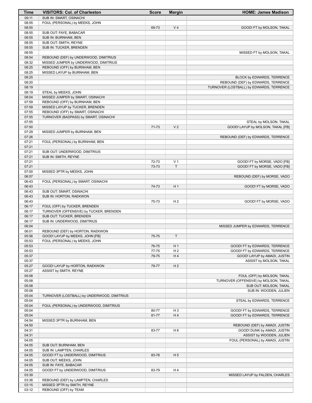| Time           | <b>VISITORS: Col. of Charleston</b>         | <b>Score</b> | <b>Margin</b>  | <b>HOME: James Madison</b>               |
|----------------|---------------------------------------------|--------------|----------------|------------------------------------------|
| 09:11          | SUB IN: SMART, OSINACHI                     |              |                |                                          |
| 08:55          | FOUL (PERSONAL) by MEEKS, JOHN              |              |                |                                          |
| 08:55          |                                             | 69-73        | V <sub>4</sub> | GOOD! FT by MOLSON, TAKAL                |
| 08:55          | SUB OUT: FAYE, BABACAR                      |              |                |                                          |
| 08:55          | SUB IN: BURNHAM, BEN                        |              |                |                                          |
| 08:55          | SUB OUT: SMITH, REYNE                       |              |                |                                          |
| 08:55          | SUB IN: TUCKER, BRENDEN                     |              |                |                                          |
| 08:55          |                                             |              |                | MISSED FT by MOLSON, TAKAL               |
| 08:54          | REBOUND (DEF) by UNDERWOOD, DIMITRIUS       |              |                |                                          |
| 08:32          | MISSED JUMPER by UNDERWOOD, DIMITRIUS       |              |                |                                          |
| 08:25          | REBOUND (OFF) by BURNHAM, BEN               |              |                |                                          |
| 08:25          | MISSED LAYUP by BURNHAM, BEN                |              |                |                                          |
| 08:25          |                                             |              |                | BLOCK by EDWARDS, TERRENCE               |
| 08:20          |                                             |              |                | REBOUND (DEF) by EDWARDS, TERRENCE       |
| 08:19          |                                             |              |                | TURNOVER (LOSTBALL) by EDWARDS, TERRENCE |
| 08:19          | STEAL by MEEKS, JOHN                        |              |                |                                          |
| 08:04          | MISSED JUMPER by SMART, OSINACHI            |              |                |                                          |
| 07:59          | REBOUND (OFF) by BURNHAM, BEN               |              |                |                                          |
| 07:59          | MISSED LAYUP by TUCKER, BRENDEN             |              |                |                                          |
| 07:55          | REBOUND (OFF) by SMART, OSINACHI            |              |                |                                          |
| 07:55          | TURNOVER (BADPASS) by SMART, OSINACHI       |              |                |                                          |
| 07:55          |                                             |              |                | STEAL by MOLSON, TAKAL                   |
| 07:50          |                                             | 71-73        | V <sub>2</sub> | GOOD! LAYUP by MOLSON, TAKAL [FB]        |
| 07:29          | MISSED JUMPER by BURNHAM, BEN               |              |                |                                          |
| 07:26          |                                             |              |                | REBOUND (DEF) by EDWARDS, TERRENCE       |
| 07:21          | FOUL (PERSONAL) by BURNHAM, BEN             |              |                |                                          |
| 07:21          |                                             |              |                |                                          |
| 07:21          | SUB OUT: UNDERWOOD, DIMITRIUS               |              |                |                                          |
| 07:21          | SUB IN: SMITH, REYNE                        |              |                |                                          |
| 07:21          |                                             | 72-73        | V <sub>1</sub> | GOOD! FT by MORSE, VADO [FB]             |
| 07:21          |                                             | 73-73        | $\mathsf T$    | GOOD! FT by MORSE, VADO [FB]             |
| 07:00          | MISSED 3PTR by MEEKS, JOHN                  |              |                |                                          |
| 06:57          |                                             |              |                | REBOUND (DEF) by MORSE, VADO             |
| 06:43          | FOUL (PERSONAL) by SMART, OSINACHI          |              |                |                                          |
| 06:43          |                                             | 74-73        | H <sub>1</sub> | GOOD! FT by MORSE, VADO                  |
| 06:43          | SUB OUT: SMART, OSINACHI                    |              |                |                                          |
| 06:43          | SUB IN: HORTON, RAEKWON                     |              |                |                                          |
| 06:43          |                                             | 75-73        | H <sub>2</sub> | GOOD! FT by MORSE, VADO                  |
| 06:17          | FOUL (OFF) by TUCKER, BRENDEN               |              |                |                                          |
| 06:17          | TURNOVER (OFFENSIVE) by TUCKER, BRENDEN     |              |                |                                          |
| 06:17          | SUB OUT: TUCKER, BRENDEN                    |              |                |                                          |
| 06:17          |                                             |              |                |                                          |
|                | SUB IN: UNDERWOOD, DIMITRIUS                |              |                |                                          |
| 06:04          |                                             |              |                | MISSED JUMPER by EDWARDS, TERRENCE       |
| 06:01<br>05:56 | REBOUND (DEF) by HORTON, RAEKWON            |              | T.             |                                          |
|                | GOOD! LAYUP by MEEKS, JOHN [FB]             | 75-75        |                |                                          |
| 05:53          | FOUL (PERSONAL) by MEEKS, JOHN              |              |                |                                          |
| 05:53          |                                             | 76-75        | H <sub>1</sub> | GOOD! FT by EDWARDS, TERRENCE            |
| 05:53          |                                             | 77-75        | H <sub>2</sub> | GOOD! FT by EDWARDS, TERRENCE            |
| 05:37          |                                             | 79-75        | H4             | GOOD! LAYUP by AMADI, JUSTIN             |
| 05:37          |                                             |              |                | ASSIST by MOLSON, TAKAL                  |
| 05:27          | GOOD! LAYUP by HORTON, RAEKWON              | 79-77        | H <sub>2</sub> |                                          |
| 05:27          | ASSIST by SMITH, REYNE                      |              |                |                                          |
| 05:08          |                                             |              |                | FOUL (OFF) by MOLSON, TAKAL              |
| 05:08          |                                             |              |                | TURNOVER (OFFENSIVE) by MOLSON, TAKAL    |
| 05:08          |                                             |              |                | SUB OUT: MOLSON, TAKAL                   |
| 05:08          |                                             |              |                | SUB IN: WOODEN, JULIEN                   |
| 05:04          | TURNOVER (LOSTBALL) by UNDERWOOD, DIMITRIUS |              |                |                                          |
| 05:04          |                                             |              |                | STEAL by EDWARDS, TERRENCE               |
| 05:04          | FOUL (PERSONAL) by UNDERWOOD, DIMITRIUS     |              |                |                                          |
| 05:04          |                                             | 80-77        | H <sub>3</sub> | GOOD! FT by EDWARDS, TERRENCE            |
| 05:04          |                                             | 81-77        | H4             | GOOD! FT by EDWARDS, TERRENCE            |
| 04:54          | MISSED 3PTR by BURNHAM, BEN                 |              |                |                                          |
| 04:50          |                                             |              |                | REBOUND (DEF) by AMADI, JUSTIN           |
| 04:31          |                                             | 83-77        | H <sub>6</sub> | GOOD! DUNK by AMADI, JUSTIN              |
| 04:31          |                                             |              |                | ASSIST by WOODEN, JULIEN                 |
| 04:05          |                                             |              |                | FOUL (PERSONAL) by AMADI, JUSTIN         |
| 04:05          | SUB OUT: BURNHAM, BEN                       |              |                |                                          |
| 04:05          | SUB IN: LAMPTEN, CHARLES                    |              |                |                                          |
| 04:05          | GOOD! FT by UNDERWOOD, DIMITRIUS            | 83-78        | H <sub>5</sub> |                                          |
| 04:05          | SUB OUT: MEEKS, JOHN                        |              |                |                                          |
| 04:05          | SUB IN: FAYE, BABACAR                       |              |                |                                          |
| 04:05          | GOOD! FT by UNDERWOOD, DIMITRIUS            | 83-79        | H4             |                                          |
| 03:39          |                                             |              |                | MISSED LAYUP by FALDEN, CHARLES          |
| 03:36          | REBOUND (DEF) by LAMPTEN, CHARLES           |              |                |                                          |
| 03:15          | MISSED 3PTR by SMITH, REYNE                 |              |                |                                          |
| 03:12          | REBOUND (OFF) by TEAM                       |              |                |                                          |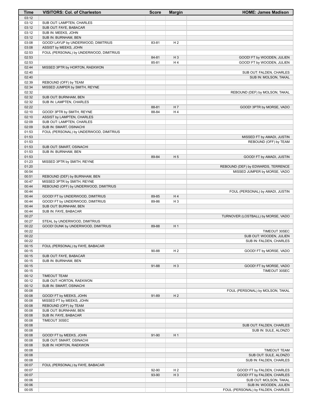| Time           | <b>VISITORS: Col. of Charleston</b>                         | <b>Score</b>   | <b>Margin</b>  | <b>HOME: James Madison</b>                         |
|----------------|-------------------------------------------------------------|----------------|----------------|----------------------------------------------------|
| 03:12          |                                                             |                |                |                                                    |
| 03:12          | SUB OUT: LAMPTEN, CHARLES                                   |                |                |                                                    |
| 03:12          | SUB OUT: FAYE, BABACAR                                      |                |                |                                                    |
| 03:12          | SUB IN: MEEKS, JOHN                                         |                |                |                                                    |
| 03:12<br>03:08 | SUB IN: BURNHAM, BEN<br>GOOD! LAYUP by UNDERWOOD, DIMITRIUS | 83-81          | H <sub>2</sub> |                                                    |
| 03:08          | ASSIST by MEEKS, JOHN                                       |                |                |                                                    |
| 02:53          | FOUL (PERSONAL) by UNDERWOOD, DIMITRIUS                     |                |                |                                                    |
| 02:53          |                                                             | 84-81          | $H_3$          | GOOD! FT by WOODEN, JULIEN                         |
| 02:53          |                                                             | 85-81          | H4             | GOOD! FT by WOODEN, JULIEN                         |
| 02:44          | MISSED 3PTR by HORTON, RAEKWON                              |                |                |                                                    |
| 02:40          |                                                             |                |                | SUB OUT: FALDEN, CHARLES                           |
| 02:40          |                                                             |                |                | SUB IN: MOLSON, TAKAL                              |
| 02:39          | REBOUND (OFF) by TEAM                                       |                |                |                                                    |
| 02:34          | MISSED JUMPER by SMITH, REYNE                               |                |                |                                                    |
| 02:32          |                                                             |                |                | REBOUND (DEF) by MOLSON, TAKAL                     |
| 02:32          | SUB OUT: BURNHAM, BEN                                       |                |                |                                                    |
| 02:32<br>02:22 | SUB IN: LAMPTEN, CHARLES                                    | 88-81          | H <sub>7</sub> | GOOD! 3PTR by MORSE, VADO                          |
| 02:10          | GOOD! 3PTR by SMITH, REYNE                                  | 88-84          | H4             |                                                    |
| 02:10          | ASSIST by LAMPTEN, CHARLES                                  |                |                |                                                    |
| 02:09          | SUB OUT: LAMPTEN, CHARLES                                   |                |                |                                                    |
| 02:09          | SUB IN: SMART, OSINACHI                                     |                |                |                                                    |
| 01:53          | FOUL (PERSONAL) by UNDERWOOD, DIMITRIUS                     |                |                |                                                    |
| 01:53          |                                                             |                |                | MISSED FT by AMADI, JUSTIN                         |
| 01:53          |                                                             |                |                | REBOUND (OFF) by TEAM                              |
| 01:53          | SUB OUT: SMART, OSINACHI                                    |                |                |                                                    |
| 01:53          | SUB IN: BURNHAM, BEN                                        |                |                |                                                    |
| 01:53          |                                                             | 89-84          | H <sub>5</sub> | GOOD! FT by AMADI, JUSTIN                          |
| 01:23          | MISSED 3PTR by SMITH, REYNE                                 |                |                |                                                    |
| 01:20          |                                                             |                |                | REBOUND (DEF) by EDWARDS, TERRENCE                 |
| 00:54<br>00:51 | REBOUND (DEF) by BURNHAM, BEN                               |                |                | MISSED JUMPER by MORSE, VADO                       |
| 00:47          | MISSED 3PTR by SMITH, REYNE                                 |                |                |                                                    |
| 00:44          | REBOUND (OFF) by UNDERWOOD, DIMITRIUS                       |                |                |                                                    |
| 00:44          |                                                             |                |                | FOUL (PERSONAL) by AMADI, JUSTIN                   |
| 00:44          | GOOD! FT by UNDERWOOD, DIMITRIUS                            | 89-85          | H4             |                                                    |
| 00:44          | GOOD! FT by UNDERWOOD, DIMITRIUS                            | 89-86          | $H_3$          |                                                    |
| 00:44          | SUB OUT: BURNHAM, BEN                                       |                |                |                                                    |
| 00:44          | SUB IN: FAYE, BABACAR                                       |                |                |                                                    |
| 00:27          |                                                             |                |                | TURNOVER (LOSTBALL) by MORSE, VADO                 |
| 00:27          | STEAL by UNDERWOOD, DIMITRIUS                               |                |                |                                                    |
| 00:22          | GOOD! DUNK by UNDERWOOD, DIMITRIUS                          | 89-88          | H <sub>1</sub> |                                                    |
| 00:22          |                                                             |                |                | TIMEOUT 30SEC                                      |
| 00:22<br>00:22 |                                                             |                |                | SUB OUT: WOODEN, JULIEN<br>SUB IN: FALDEN, CHARLES |
| 00:15          | FOUL (PERSONAL) by FAYE, BABACAR                            |                |                |                                                    |
| 00:15          |                                                             | 90-88          | H <sub>2</sub> | GOOD! FT by MORSE, VADO                            |
| 00:15          | SUB OUT: FAYE, BABACAR                                      |                |                |                                                    |
| 00:15          | SUB IN: BURNHAM, BEN                                        |                |                |                                                    |
| 00:15          |                                                             | 91-88          | $H_3$          | GOOD! FT by MORSE, VADO                            |
| 00:15          |                                                             |                |                | TIMEOUT 30SEC                                      |
| 00:12          | <b>TIMEOUT TEAM</b>                                         |                |                |                                                    |
| 00:12          | SUB OUT: HORTON, RAEKWON                                    |                |                |                                                    |
| 00:12          | SUB IN: SMART, OSINACHI                                     |                |                |                                                    |
| 00:08          |                                                             |                |                | FOUL (PERSONAL) by MOLSON, TAKAL                   |
| 00:08          | GOOD! FT by MEEKS, JOHN                                     | 91-89          | H <sub>2</sub> |                                                    |
| 00:08<br>00:08 | MISSED FT by MEEKS, JOHN<br>REBOUND (OFF) by TEAM           |                |                |                                                    |
| 00:08          | SUB OUT: BURNHAM, BEN                                       |                |                |                                                    |
| 00:08          | SUB IN: FAYE, BABACAR                                       |                |                |                                                    |
| 00:08          | TIMEOUT 30SEC                                               |                |                |                                                    |
| 00:08          |                                                             |                |                | SUB OUT: FALDEN, CHARLES                           |
| 00:08          |                                                             |                |                | SUB IN: SULE, ALONZO                               |
| 00:08          | GOOD! FT by MEEKS, JOHN                                     | 91-90          | H <sub>1</sub> |                                                    |
| 00:08          | SUB OUT: SMART, OSINACHI                                    |                |                |                                                    |
| 00:08          | SUB IN: HORTON, RAEKWON                                     |                |                |                                                    |
| 00:08          |                                                             |                |                | <b>TIMEOUT TEAM</b>                                |
| 00:08          |                                                             |                |                | SUB OUT: SULE, ALONZO                              |
| 00:08          |                                                             |                |                | SUB IN: FALDEN, CHARLES                            |
| 00:07<br>00:07 | FOUL (PERSONAL) by FAYE, BABACAR                            |                | H <sub>2</sub> | <b>GOOD! FT by FALDEN, CHARLES</b>                 |
| 00:07          |                                                             | 92-90<br>93-90 | $H_3$          | GOOD! FT by FALDEN, CHARLES                        |
| 00:06          |                                                             |                |                | SUB OUT: MOLSON, TAKAL                             |
| 00:06          |                                                             |                |                | SUB IN: WOODEN, JULIEN                             |
| 00:05          |                                                             |                |                | FOUL (PERSONAL) by FALDEN, CHARLES                 |
|                |                                                             |                |                |                                                    |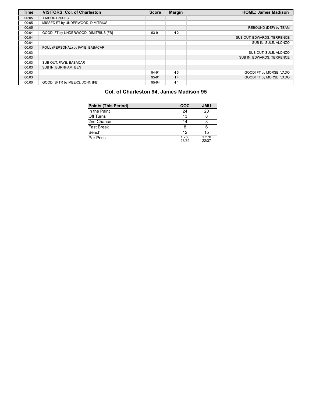| <b>Time</b> | <b>VISITORS: Col. of Charleston</b>   | <b>Score</b> | <b>Margin</b>  | <b>HOME: James Madison</b> |
|-------------|---------------------------------------|--------------|----------------|----------------------------|
| 00:05       | TIMEOUT 30SEC                         |              |                |                            |
| 00:05       | MISSED FT by UNDERWOOD, DIMITRIUS     |              |                |                            |
| 00:05       |                                       |              |                | REBOUND (DEF) by TEAM      |
| 00:04       | GOOD! FT by UNDERWOOD, DIMITRIUS [FB] | 93-91        | H <sub>2</sub> |                            |
| 00:04       |                                       |              |                | SUB OUT: EDWARDS, TERRENCE |
| 00:04       |                                       |              |                | SUB IN: SULE, ALONZO       |
| 00:03       | FOUL (PERSONAL) by FAYE, BABACAR      |              |                |                            |
| 00:03       |                                       |              |                | SUB OUT: SULE, ALONZO      |
| 00:03       |                                       |              |                | SUB IN: EDWARDS, TERRENCE  |
| 00:03       | SUB OUT: FAYE, BABACAR                |              |                |                            |
| 00:03       | SUB IN: BURNHAM, BEN                  |              |                |                            |
| 00:03       |                                       | 94-91        | $H_3$          | GOOD! FT by MORSE, VADO    |
| 00:03       |                                       | 95-91        | H <sub>4</sub> | GOOD! FT by MORSE, VADO    |
| 00:00       | GOOD! 3PTR by MEEKS, JOHN [FB]        | 95-94        | H <sub>1</sub> |                            |

## **Col. of Charleston 94, James Madison 95**

| <b>Points (This Period)</b> | <b>COC</b>     | <b>JMU</b>     |
|-----------------------------|----------------|----------------|
| In the Paint                | 24             | 20             |
| Off Turns                   | 13             |                |
| 2nd Chance                  | 14             |                |
| <b>Fast Break</b>           | 8              | 6              |
| Bench                       | 12             | 15             |
| Per Poss                    | 1.256<br>23/39 | 1.270<br>22/37 |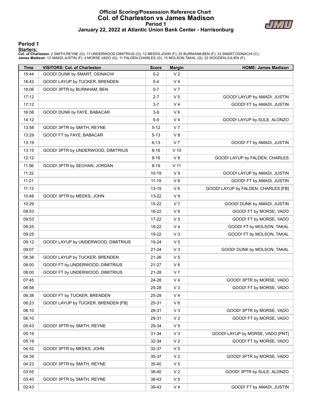#### **Official Scoring/Possession Reference Chart Col. of Charleston vs James Madison Period 1 January 22, 2022 at Atlantic Union Bank Center - Harrisonburg**



#### **Period 1**

<mark>Startersː</mark><br>Col. of Charleston: 2 SMITH,REYNE (G); 11 UNDERWOOD,DIMITRIUS (G); 12 MEEKS,JOHN (F); 25 BURNHAM,BEN (F); 33 SMART,OSINACHI (C);<br>James Madison: 12 AMADI,JUSTIN (F); 4 MORSE,VADO (G); 11 FALDEN,CHARLES (G); 15 M

| <b>Time</b> | <b>VISITORS: Col. of Charleston</b> | <b>Score</b> | <b>Margin</b>   | <b>HOME: James Madison</b>          |
|-------------|-------------------------------------|--------------|-----------------|-------------------------------------|
| 19:44       | GOOD! DUNK by SMART, OSINACHI       | $0 - 2$      | V <sub>2</sub>  |                                     |
| 18:42       | GOOD! LAYUP by TUCKER, BRENDEN      | $0 - 4$      | V <sub>4</sub>  |                                     |
| 18:06       | GOOD! 3PTR by BURNHAM, BEN          | $0-7$        | V <sub>7</sub>  |                                     |
| 17:12       |                                     | $2 - 7$      | V <sub>5</sub>  | GOOD! LAYUP by AMADI, JUSTIN        |
| 17:12       |                                     | 3-7          | V <sub>4</sub>  | GOOD! FT by AMADI, JUSTIN           |
| 16:08       | GOOD! DUNK by FAYE, BABACAR         | $3-9$        | $V_6$           |                                     |
| 14:12       |                                     | $5-9$        | V <sub>4</sub>  | GOOD! LAYUP by SULE, ALONZO         |
| 13:58       | GOOD! 3PTR by SMITH, REYNE          | $5 - 12$     | V <sub>7</sub>  |                                     |
| 13:29       | GOOD! FT by FAYE, BABACAR           | $5 - 13$     | V8              |                                     |
| 13:19       |                                     | $6 - 13$     | V <sub>7</sub>  | GOOD! FT by AMADI, JUSTIN           |
| 13:15       | GOOD! 3PTR by UNDERWOOD, DIMITRIUS  | $6 - 16$     | $V$ 10          |                                     |
| 12:12       |                                     | $8 - 16$     | V8              | GOOD! LAYUP by FALDEN, CHARLES      |
| 11:56       | GOOD! 3PTR by SECHAN, JORDAN        | $8 - 19$     | V <sub>11</sub> |                                     |
| 11:22       |                                     | 10-19        | V <sub>9</sub>  | GOOD! LAYUP by AMADI, JUSTIN        |
| 11:21       |                                     | 11-19        | V8              | GOOD! FT by AMADI, JUSTIN           |
| 11:13       |                                     | 13-19        | $V_6$           | GOOD! LAYUP by FALDEN, CHARLES [FB] |
| 10:48       | GOOD! 3PTR by MEEKS, JOHN           | 13-22        | V <sub>9</sub>  |                                     |
| 10:29       |                                     | 15-22        | V <sub>7</sub>  | GOOD! DUNK by AMADI, JUSTIN         |
| 09:53       |                                     | 16-22        | $V_6$           | GOOD! FT by MORSE, VADO             |
| 09:53       |                                     | 17-22        | V <sub>5</sub>  | GOOD! FT by MORSE, VADO             |
| 09:25       |                                     | 18-22        | V <sub>4</sub>  | GOOD! FT by MOLSON, TAKAL           |
| 09:25       |                                     | 19-22        | $V_3$           | GOOD! FT by MOLSON, TAKAL           |
| 09:12       | GOOD! LAYUP by UNDERWOOD, DIMITRIUS | 19-24        | V <sub>5</sub>  |                                     |
| 09:07       |                                     | 21-24        | $V_3$           | GOOD! DUNK by MOLSON, TAKAL         |
| 08:38       | GOOD! LAYUP by TUCKER, BRENDEN      | 21-26        | V <sub>5</sub>  |                                     |
| 08:00       | GOOD! FT by UNDERWOOD, DIMITRIUS    | 21-27        | V6              |                                     |
| 08:00       | GOOD! FT by UNDERWOOD, DIMITRIUS    | 21-28        | V <sub>7</sub>  |                                     |
| 07:45       |                                     | 24-28        | V <sub>4</sub>  | GOOD! 3PTR by MORSE, VADO           |
| 06:58       |                                     | $25 - 28$    | V <sub>3</sub>  | GOOD! FT by MORSE, VADO             |
| 06:38       | GOOD! FT by TUCKER, BRENDEN         | 25-29        | V 4             |                                     |
| 06:23       | GOOD! LAYUP by TUCKER, BRENDEN [FB] | 25-31        | $V_6$           |                                     |
| 06:10       |                                     | 28-31        | $V_3$           | GOOD! 3PTR by MORSE, VADO           |
| 06:10       |                                     | 29-31        | V <sub>2</sub>  | GOOD! FT by MORSE, VADO             |
| 05:43       | GOOD! 3PTR by SMITH, REYNE          | 29-34        | V <sub>5</sub>  |                                     |
| 05:19       |                                     | 31-34        | V <sub>3</sub>  | GOOD! LAYUP by MORSE, VADO [PNT]    |
| 05:19       |                                     | 32-34        | V <sub>2</sub>  | GOOD! FT by MORSE, VADO             |
| 04:52       | GOOD! 3PTR by MEEKS, JOHN           | 32-37        | V <sub>5</sub>  |                                     |
| 04:39       |                                     | 35-37        | V <sub>2</sub>  | GOOD! 3PTR by MORSE, VADO           |
| 04:23       | GOOD! 3PTR by SMITH, REYNE          | 35-40        | V <sub>5</sub>  |                                     |
| 03:55       |                                     | 38-40        | V <sub>2</sub>  | GOOD! 3PTR by SULE, ALONZO          |
| 03:40       | GOOD! 3PTR by SMITH, REYNE          | 38-43        | V <sub>5</sub>  |                                     |
| 02:43       |                                     | 39-43        | V <sub>4</sub>  | GOOD! FT by AMADI, JUSTIN           |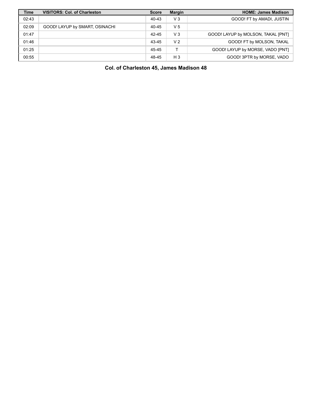| <b>Time</b> | <b>VISITORS: Col. of Charleston</b> | <b>Score</b> | <b>Margin</b>  | <b>HOME: James Madison</b>         |
|-------------|-------------------------------------|--------------|----------------|------------------------------------|
| 02:43       |                                     | 40-43        | $V_3$          | GOOD! FT by AMADI, JUSTIN          |
| 02:09       | GOOD! LAYUP by SMART, OSINACHI      | 40-45        | V <sub>5</sub> |                                    |
| 01:47       |                                     | 42-45        | $V_3$          | GOOD! LAYUP by MOLSON, TAKAL [PNT] |
| 01:46       |                                     | 43-45        | V <sub>2</sub> | GOOD! FT by MOLSON, TAKAL          |
| 01:25       |                                     | 45-45        |                | GOOD! LAYUP by MORSE, VADO [PNT]   |
| 00:55       |                                     | 48-45        | $H_3$          | GOOD! 3PTR by MORSE, VADO          |

**Col. of Charleston 45, James Madison 48**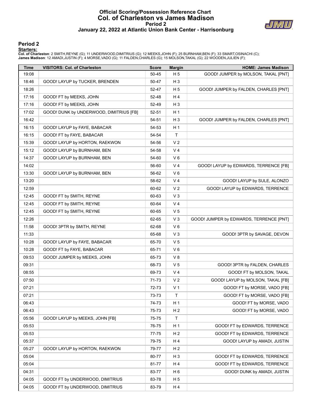#### **Official Scoring/Possession Reference Chart Col. of Charleston vs James Madison Period 2 January 22, 2022 at Atlantic Union Bank Center - Harrisonburg**



#### **Period 2**

#### **Starters:**

Col. of Charleston: 2 SMITH,REYNE (G); 11 UNDERWOOD,DIMITRIUS (G); 12 MEEKS,JOHN (F); 25 BURNHAM,BEN (F); 33 SMART,OSINACHI (C);<br>James Madison: 12 AMADI,JUSTIN (F); 4 MORSE,VADO (G); 11 FALDEN,CHARLES (G); 15 MOLSON,TAKAL

| Time  | <b>VISITORS: Col. of Charleston</b>     | <b>Score</b> | <b>Margin</b>  | <b>HOME: James Madison</b>              |
|-------|-----------------------------------------|--------------|----------------|-----------------------------------------|
| 19:08 |                                         | 50-45        | H 5            | GOOD! JUMPER by MOLSON, TAKAL [PNT]     |
| 18:46 | GOOD! LAYUP by TUCKER, BRENDEN          | 50-47        | $H_3$          |                                         |
| 18:26 |                                         | 52-47        | H <sub>5</sub> | GOOD! JUMPER by FALDEN, CHARLES [PNT]   |
| 17:16 | GOOD! FT by MEEKS, JOHN                 | 52-48        | H 4            |                                         |
| 17:16 | GOOD! FT by MEEKS, JOHN                 | 52-49        | $H_3$          |                                         |
| 17:02 | GOOD! DUNK by UNDERWOOD, DIMITRIUS [FB] | 52-51        | H 1            |                                         |
| 16:42 |                                         | 54-51        | $H_3$          | GOOD! JUMPER by FALDEN, CHARLES [PNT]   |
| 16:15 | GOOD! LAYUP by FAYE, BABACAR            | 54-53        | H <sub>1</sub> |                                         |
| 16:15 | GOOD! FT by FAYE, BABACAR               | 54-54        | T              |                                         |
| 15:39 | GOOD! LAYUP by HORTON, RAEKWON          | 54-56        | V <sub>2</sub> |                                         |
| 15:12 | GOOD! LAYUP by BURNHAM, BEN             | 54-58        | V <sub>4</sub> |                                         |
| 14:37 | GOOD! LAYUP by BURNHAM, BEN             | 54-60        | $V_6$          |                                         |
| 14:02 |                                         | 56-60        | V <sub>4</sub> | GOOD! LAYUP by EDWARDS, TERRENCE [FB]   |
| 13:30 | GOOD! LAYUP by BURNHAM, BEN             | 56-62        | V 6            |                                         |
| 13:20 |                                         | 58-62        | V <sub>4</sub> | GOOD! LAYUP by SULE, ALONZO             |
| 12:59 |                                         | 60-62        | V <sub>2</sub> | GOOD! LAYUP by EDWARDS, TERRENCE        |
| 12:45 | GOOD! FT by SMITH, REYNE                | 60-63        | $V_3$          |                                         |
| 12:45 | GOOD! FT by SMITH, REYNE                | 60-64        | V <sub>4</sub> |                                         |
| 12:45 | GOOD! FT by SMITH, REYNE                | 60-65        | V <sub>5</sub> |                                         |
| 12:26 |                                         | 62-65        | V <sub>3</sub> | GOOD! JUMPER by EDWARDS, TERRENCE [PNT] |
| 11:58 | GOOD! 3PTR by SMITH, REYNE              | 62-68        | $V_6$          |                                         |
| 11:33 |                                         | 65-68        | $V_3$          | GOOD! 3PTR by SAVAGE, DEVON             |
| 10:28 | GOOD! LAYUP by FAYE, BABACAR            | 65-70        | V <sub>5</sub> |                                         |
| 10:28 | GOOD! FT by FAYE, BABACAR               | 65-71        | V6             |                                         |
| 09:53 | GOOD! JUMPER by MEEKS, JOHN             | 65-73        | V 8            |                                         |
| 09:31 |                                         | 68-73        | V <sub>5</sub> | GOOD! 3PTR by FALDEN, CHARLES           |
| 08:55 |                                         | 69-73        | V <sub>4</sub> | GOOD! FT by MOLSON, TAKAL               |
| 07:50 |                                         | 71-73        | V <sub>2</sub> | GOOD! LAYUP by MOLSON, TAKAL [FB]       |
| 07:21 |                                         | 72-73        | V <sub>1</sub> | GOOD! FT by MORSE, VADO [FB]            |
| 07:21 |                                         | 73-73        | $\mathsf{T}$   | GOOD! FT by MORSE, VADO [FB]            |
| 06:43 |                                         | 74-73        | H <sub>1</sub> | GOOD! FT by MORSE, VADO                 |
| 06:43 |                                         | 75-73        | H <sub>2</sub> | GOOD! FT by MORSE, VADO                 |
| 05:56 | GOOD! LAYUP by MEEKS, JOHN [FB]         | 75-75        | T              |                                         |
| 05:53 |                                         | 76-75        | H <sub>1</sub> | GOOD! FT by EDWARDS, TERRENCE           |
| 05:53 |                                         | 77-75        | H <sub>2</sub> | GOOD! FT by EDWARDS, TERRENCE           |
| 05:37 |                                         | 79-75        | H 4            | GOOD! LAYUP by AMADI, JUSTIN            |
| 05:27 | GOOD! LAYUP by HORTON, RAEKWON          | 79-77        | H <sub>2</sub> |                                         |
| 05:04 |                                         | 80-77        | $H_3$          | GOOD! FT by EDWARDS, TERRENCE           |
| 05:04 |                                         | 81-77        | H 4            | GOOD! FT by EDWARDS, TERRENCE           |
| 04:31 |                                         | 83-77        | H <sub>6</sub> | GOOD! DUNK by AMADI, JUSTIN             |
| 04:05 | GOOD! FT by UNDERWOOD, DIMITRIUS        | 83-78        | H <sub>5</sub> |                                         |
| 04:05 | GOOD! FT by UNDERWOOD, DIMITRIUS        | 83-79        | H 4            |                                         |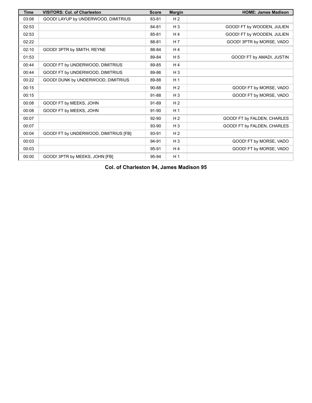| <b>Time</b> | <b>VISITORS: Col. of Charleston</b>   | <b>Score</b> | <b>Margin</b>  | <b>HOME: James Madison</b>  |
|-------------|---------------------------------------|--------------|----------------|-----------------------------|
| 03:08       | GOOD! LAYUP by UNDERWOOD, DIMITRIUS   | 83-81        | H <sub>2</sub> |                             |
| 02:53       |                                       | 84-81        | $H_3$          | GOOD! FT by WOODEN, JULIEN  |
| 02:53       |                                       | 85-81        | H <sub>4</sub> | GOOD! FT by WOODEN, JULIEN  |
| 02:22       |                                       | 88-81        | H <sub>7</sub> | GOOD! 3PTR by MORSE, VADO   |
| 02:10       | GOOD! 3PTR by SMITH, REYNE            | 88-84        | H <sub>4</sub> |                             |
| 01:53       |                                       | 89-84        | H <sub>5</sub> | GOOD! FT by AMADI, JUSTIN   |
| 00:44       | GOOD! FT by UNDERWOOD, DIMITRIUS      | 89-85        | H <sub>4</sub> |                             |
| 00:44       | GOOD! FT by UNDERWOOD, DIMITRIUS      | 89-86        | $H_3$          |                             |
| 00:22       | GOOD! DUNK by UNDERWOOD, DIMITRIUS    | 89-88        | H <sub>1</sub> |                             |
| 00:15       |                                       | 90-88        | H <sub>2</sub> | GOOD! FT by MORSE, VADO     |
| 00:15       |                                       | 91-88        | $H_3$          | GOOD! FT by MORSE, VADO     |
| 00:08       | GOOD! FT by MEEKS, JOHN               | 91-89        | H <sub>2</sub> |                             |
| 00:08       | GOOD! FT by MEEKS, JOHN               | 91-90        | H <sub>1</sub> |                             |
| 00:07       |                                       | 92-90        | H <sub>2</sub> | GOOD! FT by FALDEN, CHARLES |
| 00:07       |                                       | 93-90        | $H_3$          | GOOD! FT by FALDEN, CHARLES |
| 00:04       | GOOD! FT by UNDERWOOD, DIMITRIUS [FB] | 93-91        | H <sub>2</sub> |                             |
| 00:03       |                                       | 94-91        | $H_3$          | GOOD! FT by MORSE, VADO     |
| 00:03       |                                       | 95-91        | H <sub>4</sub> | GOOD! FT by MORSE, VADO     |
| 00:00       | GOOD! 3PTR by MEEKS, JOHN [FB]        | 95-94        | H <sub>1</sub> |                             |

**Col. of Charleston 94, James Madison 95**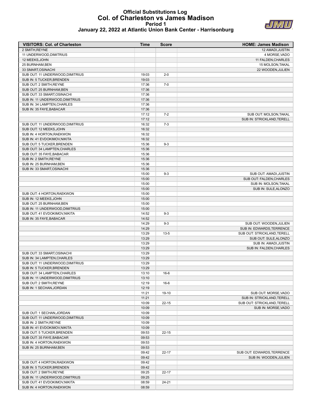#### **Official Substitutions Log Col. of Charleston vs James Madison Period 1 January 22, 2022 at Atlantic Union Bank Center - Harrisonburg**



| <b>VISITORS: Col. of Charleston</b> | <b>Time</b> | <b>Score</b> | <b>HOME: James Madison</b> |
|-------------------------------------|-------------|--------------|----------------------------|
| 2 SMITH, REYNE                      |             |              | 12 AMADI, JUSTIN           |
| 11 UNDERWOOD, DIMITRIUS             |             |              | 4 MORSE, VADO              |
| 12 MEEKS, JOHN                      |             |              | 11 FALDEN, CHARLES         |
| 25 BURNHAM.BEN                      |             |              | <b>15 MOLSON.TAKAL</b>     |
| 33 SMART, OSINACHI                  |             |              | 22 WOODEN, JULIEN          |
| SUB OUT: 11 UNDERWOOD, DIMITRIUS    | 19:03       | $2 - 0$      |                            |
| SUB IN: 5 TUCKER, BRENDEN           | 19:03       |              |                            |
| SUB OUT: 2 SMITH, REYNE             | 17:36       | $7-0$        |                            |
| SUB OUT: 25 BURNHAM, BEN            | 17:36       |              |                            |
| CLID OLIT. 22 CMADT OCINIACLI       | 47.9C       |              |                            |

| SUB OUT: 2 SMITH, REYNE          | 17:36 | $7-0$     |                             |
|----------------------------------|-------|-----------|-----------------------------|
| SUB OUT: 25 BURNHAM, BEN         | 17:36 |           |                             |
| SUB OUT: 33 SMART, OSINACHI      | 17:36 |           |                             |
| SUB IN: 11 UNDERWOOD, DIMITRIUS  | 17:36 |           |                             |
| SUB IN: 34 LAMPTEN, CHARLES      | 17:36 |           |                             |
| SUB IN: 35 FAYE, BABACAR         | 17:36 |           |                             |
|                                  | 17:12 | $7-2$     | SUB OUT: MOLSON, TAKAL      |
|                                  | 17:12 |           | SUB IN: STRICKLAND, TERELL  |
| SUB OUT: 11 UNDERWOOD, DIMITRIUS | 16:32 | $7-3$     |                             |
| SUB OUT: 12 MEEKS, JOHN          | 16:32 |           |                             |
| SUB IN: 4 HORTON, RAEKWON        | 16:32 |           |                             |
| SUB IN: 41 EVDOKIMOV, NIKITA     | 16:32 |           |                             |
| SUB OUT: 5 TUCKER, BRENDEN       | 15:36 | $9 - 3$   |                             |
| SUB OUT: 34 LAMPTEN, CHARLES     | 15:36 |           |                             |
| SUB OUT: 35 FAYE.BABACAR         | 15:36 |           |                             |
|                                  |       |           |                             |
| SUB IN: 2 SMITH, REYNE           | 15:36 |           |                             |
| SUB IN: 25 BURNHAM, BEN          | 15:36 |           |                             |
| SUB IN: 33 SMART, OSINACHI       | 15:36 |           |                             |
|                                  | 15:00 | $9 - 3$   | SUB OUT: AMADI, JUSTIN      |
|                                  | 15:00 |           | SUB OUT: FALDEN, CHARLES    |
|                                  | 15:00 |           | SUB IN: MOLSON, TAKAL       |
|                                  | 15:00 |           | SUB IN: SULE, ALONZO        |
| SUB OUT: 4 HORTON, RAEKWON       | 15:00 |           |                             |
| SUB IN: 12 MEEKS, JOHN           | 15:00 |           |                             |
| SUB OUT: 25 BURNHAM.BEN          | 15:00 |           |                             |
| SUB IN: 11 UNDERWOOD, DIMITRIUS  | 15:00 |           |                             |
| SUB OUT: 41 EVDOKIMOV, NIKITA    | 14:52 | $9 - 3$   |                             |
| SUB IN: 35 FAYE, BABACAR         | 14:52 |           |                             |
|                                  | 14:29 | $9 - 3$   | SUB OUT: WOODEN.JULIEN      |
|                                  | 14:29 |           | SUB IN: EDWARDS.TERRENCE    |
|                                  | 13:29 | $13 - 5$  | SUB OUT: STRICKLAND, TERELL |
|                                  | 13:29 |           | SUB OUT: SULE, ALONZO       |
|                                  | 13:29 |           | SUB IN: AMADI, JUSTIN       |
|                                  | 13:29 |           | SUB IN: FALDEN, CHARLES     |
| SUB OUT: 33 SMART, OSINACHI      | 13:29 |           |                             |
| SUB IN: 34 LAMPTEN, CHARLES      | 13:29 |           |                             |
| SUB OUT: 11 UNDERWOOD, DIMITRIUS | 13:29 |           |                             |
| SUB IN: 5 TUCKER, BRENDEN        | 13:29 |           |                             |
| SUB OUT: 34 LAMPTEN, CHARLES     | 13:10 | $16-6$    |                             |
| SUB IN: 11 UNDERWOOD, DIMITRIUS  | 13:10 |           |                             |
| SUB OUT: 2 SMITH.REYNE           | 12:19 | $16-6$    |                             |
| SUB IN: 1 SECHAN, JORDAN         | 12:19 |           |                             |
|                                  | 11:21 | 19-10     | SUB OUT: MORSE, VADO        |
|                                  | 11:21 |           | SUB IN: STRICKLAND, TERELL  |
|                                  | 10:09 | $22 - 15$ | SUB OUT: STRICKLAND, TERELL |
|                                  | 10:09 |           | SUB IN: MORSE, VADO         |
| SUB OUT: 1 SECHAN, JORDAN        | 10:09 |           |                             |
| SUB OUT: 11 UNDERWOOD, DIMITRIUS |       |           |                             |
|                                  | 10:09 |           |                             |
| SUB IN: 2 SMITH, REYNE           | 10:09 |           |                             |
| SUB IN: 41 EVDOKIMOV, NIKITA     | 10:09 |           |                             |
| SUB OUT: 5 TUCKER, BRENDEN       | 09:53 | $22 - 15$ |                             |
| SUB OUT: 35 FAYE, BABACAR        | 09:53 |           |                             |
| SUB IN: 4 HORTON, RAEKWON        | 09:53 |           |                             |
| SUB IN: 25 BURNHAM, BEN          | 09:53 |           |                             |
|                                  | 09:42 | $22 - 17$ | SUB OUT: EDWARDS TERRENCE   |
|                                  | 09:42 |           | SUB IN: WOODEN, JULIEN      |
| SUB OUT: 4 HORTON, RAEKWON       | 09:42 |           |                             |
| SUB IN: 5 TUCKER, BRENDEN        | 09:42 |           |                             |
| SUB OUT: 2 SMITH, REYNE          | 09:25 | $22 - 17$ |                             |
| SUB IN: 11 UNDERWOOD, DIMITRIUS  | 09:25 |           |                             |
| SUB OUT: 41 EVDOKIMOV, NIKITA    | 08:59 | 24-21     |                             |
| SUB IN: 4 HORTON, RAEKWON        | 08:59 |           |                             |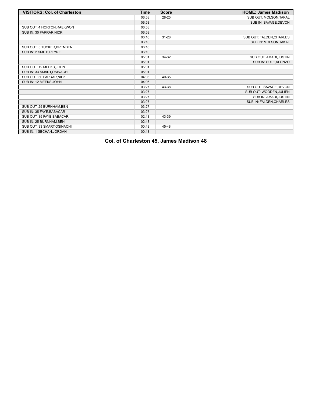| <b>VISITORS: Col. of Charleston</b> | <b>Time</b> | <b>Score</b> | <b>HOME: James Madison</b> |
|-------------------------------------|-------------|--------------|----------------------------|
|                                     | 06:58       | 28-25        | SUB OUT: MOLSON, TAKAL     |
|                                     | 06:58       |              | SUB IN: SAVAGE, DEVON      |
| SUB OUT: 4 HORTON, RAEKWON          | 06:58       |              |                            |
| SUB IN: 30 FARRAR, NICK             | 06:58       |              |                            |
|                                     | 06:10       | $31 - 28$    | SUB OUT: FALDEN, CHARLES   |
|                                     | 06:10       |              | SUB IN: MOLSON, TAKAL      |
| SUB OUT: 5 TUCKER, BRENDEN          | 06:10       |              |                            |
| SUB IN: 2 SMITH, REYNE              | 06:10       |              |                            |
|                                     | 05:01       | 34-32        | SUB OUT: AMADI, JUSTIN     |
|                                     | 05:01       |              | SUB IN: SULE, ALONZO       |
| SUB OUT: 12 MEEKS.JOHN              | 05:01       |              |                            |
| SUB IN: 33 SMART, OSINACHI          | 05:01       |              |                            |
| SUB OUT: 30 FARRAR, NICK            | 04:06       | 40-35        |                            |
| SUB IN: 12 MEEKS, JOHN              | 04:06       |              |                            |
|                                     | 03:27       | 43-38        | SUB OUT: SAVAGE, DEVON     |
|                                     | 03:27       |              | SUB OUT: WOODEN, JULIEN    |
|                                     | 03:27       |              | SUB IN: AMADI, JUSTIN      |
|                                     | 03:27       |              | SUB IN: FALDEN, CHARLES    |
| SUB OUT: 25 BURNHAM, BEN            | 03:27       |              |                            |
| SUB IN: 35 FAYE, BABACAR            | 03:27       |              |                            |
| SUB OUT: 35 FAYE, BABACAR           | 02:43       | 43-39        |                            |
| SUB IN: 25 BURNHAM, BEN             | 02:43       |              |                            |
| SUB OUT: 33 SMART, OSINACHI         | 00:48       | 45-48        |                            |
| SUB IN: 1 SECHAN, JORDAN            | 00:48       |              |                            |

## **Col. of Charleston 45, James Madison 48**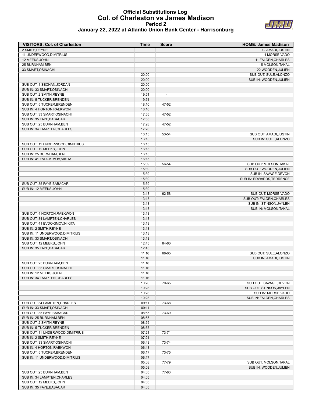#### **Official Substitutions Log Col. of Charleston vs James Madison Period 2 January 22, 2022 at Atlantic Union Bank Center - Harrisonburg**



| <b>VISITORS: Col. of Charleston</b>                 | Time           | <b>Score</b>             | <b>HOME: James Madison</b> |
|-----------------------------------------------------|----------------|--------------------------|----------------------------|
| 2 SMITH, REYNE                                      |                |                          | <b>12 AMADI.JUSTIN</b>     |
| 11 UNDERWOOD, DIMITRIUS                             |                |                          | 4 MORSE, VADO              |
| 12 MEEKS, JOHN                                      |                |                          | 11 FALDEN, CHARLES         |
| 25 BURNHAM, BEN                                     |                |                          | 15 MOLSON, TAKAL           |
| 33 SMART, OSINACHI                                  |                |                          | 22 WOODEN, JULIEN          |
|                                                     | 20:00          | $\overline{\phantom{a}}$ | SUB OUT: SULE, ALONZO      |
|                                                     | 20:00          |                          | SUB IN: WOODEN, JULIEN     |
| SUB OUT: 1 SECHAN, JORDAN                           | 20:00          |                          |                            |
| SUB IN: 33 SMART, OSINACHI                          | 20:00          |                          |                            |
| SUB OUT: 2 SMITH, REYNE                             | 19:51          | $\overline{\phantom{a}}$ |                            |
| SUB IN: 5 TUCKER, BRENDEN                           | 19:51          |                          |                            |
| SUB OUT: 5 TUCKER, BRENDEN                          | 18:10          | 47-52                    |                            |
| SUB IN: 4 HORTON, RAEKWON                           | 18:10          |                          |                            |
| SUB OUT: 33 SMART, OSINACHI                         | 17:55          | 47-52                    |                            |
| SUB IN: 35 FAYE, BABACAR                            | 17:55          |                          |                            |
| SUB OUT: 25 BURNHAM, BEN                            | 17:28          | 47-52                    |                            |
| SUB IN: 34 LAMPTEN, CHARLES                         | 17:28          |                          |                            |
|                                                     | 16:15          | 53-54                    | SUB OUT: AMADI, JUSTIN     |
|                                                     | 16:15          |                          | SUB IN: SULE, ALONZO       |
| SUB OUT: 11 UNDERWOOD, DIMITRIUS                    | 16:15          |                          |                            |
| SUB OUT: 12 MEEKS, JOHN                             | 16:15          |                          |                            |
| SUB IN: 25 BURNHAM, BEN                             | 16:15          |                          |                            |
| SUB IN: 41 EVDOKIMOV, NIKITA                        | 16:15          |                          |                            |
|                                                     | 15:39          | 56-54                    | SUB OUT: MOLSON, TAKAL     |
|                                                     | 15:39          |                          | SUB OUT: WOODEN, JULIEN    |
|                                                     | 15:39          |                          | SUB IN: SAVAGE, DEVON      |
|                                                     | 15:39          |                          | SUB IN: EDWARDS, TERRENCE  |
| SUB OUT: 35 FAYE, BABACAR                           | 15:39          |                          |                            |
| SUB IN: 12 MEEKS, JOHN                              | 15:39          |                          |                            |
|                                                     | 13:13          | 62-58                    | SUB OUT: MORSE, VADO       |
|                                                     | 13:13          |                          | SUB OUT: FALDEN, CHARLES   |
|                                                     | 13:13          |                          | SUB IN: STINSON, JAYLEN    |
|                                                     | 13:13          |                          | SUB IN: MOLSON, TAKAL      |
| SUB OUT: 4 HORTON, RAEKWON                          | 13:13          |                          |                            |
| SUB OUT: 34 LAMPTEN, CHARLES                        | 13:13          |                          |                            |
| SUB OUT: 41 EVDOKIMOV, NIKITA                       | 13:13          |                          |                            |
| SUB IN: 2 SMITH, REYNE                              | 13:13          |                          |                            |
| SUB IN: 11 UNDERWOOD, DIMITRIUS                     | 13:13<br>13:13 |                          |                            |
| SUB IN: 33 SMART, OSINACHI                          |                | 64-60                    |                            |
| SUB OUT: 12 MEEKS, JOHN<br>SUB IN: 35 FAYE, BABACAR | 12:45<br>12:45 |                          |                            |
|                                                     | 11:16          | 68-65                    | SUB OUT: SULE, ALONZO      |
|                                                     | 11:16          |                          | SUB IN: AMADI, JUSTIN      |
| SUB OUT: 25 BURNHAM, BEN                            | 11:16          |                          |                            |
| SUB OUT: 33 SMART, OSINACHI                         | 11:16          |                          |                            |
| SUB IN: 12 MEEKS, JOHN                              | 11:16          |                          |                            |
| SUB IN: 34 LAMPTEN, CHARLES                         | 11:16          |                          |                            |
|                                                     | 10:28          | 70-65                    | SUB OUT: SAVAGE, DEVON     |
|                                                     | 10:28          |                          | SUB OUT: STINSON, JAYLEN   |
|                                                     | 10:28          |                          | SUB IN: MORSE, VADO        |
|                                                     | 10:28          |                          | SUB IN: FALDEN, CHARLES    |
| SUB OUT: 34 LAMPTEN, CHARLES                        | 09:11          | 73-68                    |                            |
| SUB IN: 33 SMART, OSINACHI                          | 09:11          |                          |                            |
| SUB OUT: 35 FAYE, BABACAR                           | 08:55          | 73-69                    |                            |
| SUB IN: 25 BURNHAM, BEN                             | 08:55          |                          |                            |
| SUB OUT: 2 SMITH, REYNE                             | 08:55          |                          |                            |
| SUB IN: 5 TUCKER, BRENDEN                           | 08:55          |                          |                            |
| SUB OUT: 11 UNDERWOOD, DIMITRIUS                    | 07:21          | 73-71                    |                            |
| SUB IN: 2 SMITH, REYNE                              | 07:21          |                          |                            |
| SUB OUT: 33 SMART, OSINACHI                         | 06:43          | 73-74                    |                            |
| SUB IN: 4 HORTON, RAEKWON                           | 06:43          |                          |                            |
| SUB OUT: 5 TUCKER, BRENDEN                          | 06:17          | 73-75                    |                            |
| SUB IN: 11 UNDERWOOD, DIMITRIUS                     | 06:17          |                          |                            |
|                                                     | 05:08          | 77-79                    | SUB OUT: MOLSON, TAKAL     |
|                                                     | 05:08          |                          | SUB IN: WOODEN, JULIEN     |
| SUB OUT: 25 BURNHAM, BEN                            | 04:05          | 77-83                    |                            |
| SUB IN: 34 LAMPTEN, CHARLES                         | 04:05          |                          |                            |
| SUB OUT: 12 MEEKS, JOHN                             | 04:05          |                          |                            |
| SUB IN: 35 FAYE, BABACAR                            | 04:05          |                          |                            |